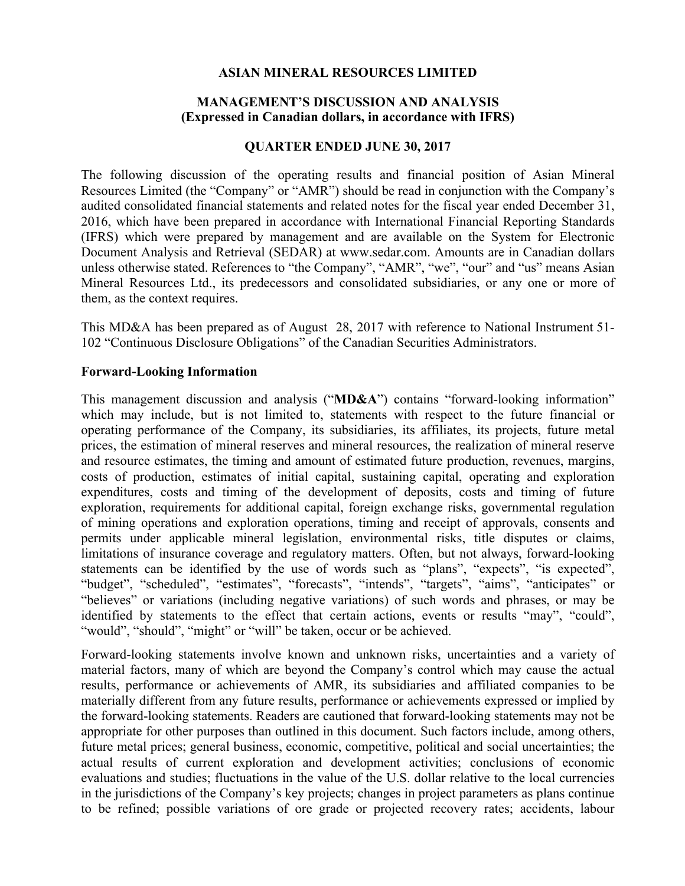### **ASIAN MINERAL RESOURCES LIMITED**

### **MANAGEMENT'S DISCUSSION AND ANALYSIS (Expressed in Canadian dollars, in accordance with IFRS)**

#### **QUARTER ENDED JUNE 30, 2017**

The following discussion of the operating results and financial position of Asian Mineral Resources Limited (the "Company" or "AMR") should be read in conjunction with the Company's audited consolidated financial statements and related notes for the fiscal year ended December 31, 2016, which have been prepared in accordance with International Financial Reporting Standards (IFRS) which were prepared by management and are available on the System for Electronic Document Analysis and Retrieval (SEDAR) at www.sedar.com. Amounts are in Canadian dollars unless otherwise stated. References to "the Company", "AMR", "we", "our" and "us" means Asian Mineral Resources Ltd., its predecessors and consolidated subsidiaries, or any one or more of them, as the context requires.

This MD&A has been prepared as of August 28, 2017 with reference to National Instrument 51- 102 "Continuous Disclosure Obligations" of the Canadian Securities Administrators.

#### **Forward-Looking Information**

This management discussion and analysis ("**MD&A**") contains "forward-looking information" which may include, but is not limited to, statements with respect to the future financial or operating performance of the Company, its subsidiaries, its affiliates, its projects, future metal prices, the estimation of mineral reserves and mineral resources, the realization of mineral reserve and resource estimates, the timing and amount of estimated future production, revenues, margins, costs of production, estimates of initial capital, sustaining capital, operating and exploration expenditures, costs and timing of the development of deposits, costs and timing of future exploration, requirements for additional capital, foreign exchange risks, governmental regulation of mining operations and exploration operations, timing and receipt of approvals, consents and permits under applicable mineral legislation, environmental risks, title disputes or claims, limitations of insurance coverage and regulatory matters. Often, but not always, forward-looking statements can be identified by the use of words such as "plans", "expects", "is expected", "budget", "scheduled", "estimates", "forecasts", "intends", "targets", "aims", "anticipates" or "believes" or variations (including negative variations) of such words and phrases, or may be identified by statements to the effect that certain actions, events or results "may", "could", "would", "should", "might" or "will" be taken, occur or be achieved.

Forward-looking statements involve known and unknown risks, uncertainties and a variety of material factors, many of which are beyond the Company's control which may cause the actual results, performance or achievements of AMR, its subsidiaries and affiliated companies to be materially different from any future results, performance or achievements expressed or implied by the forward-looking statements. Readers are cautioned that forward-looking statements may not be appropriate for other purposes than outlined in this document. Such factors include, among others, future metal prices; general business, economic, competitive, political and social uncertainties; the actual results of current exploration and development activities; conclusions of economic evaluations and studies; fluctuations in the value of the U.S. dollar relative to the local currencies in the jurisdictions of the Company's key projects; changes in project parameters as plans continue to be refined; possible variations of ore grade or projected recovery rates; accidents, labour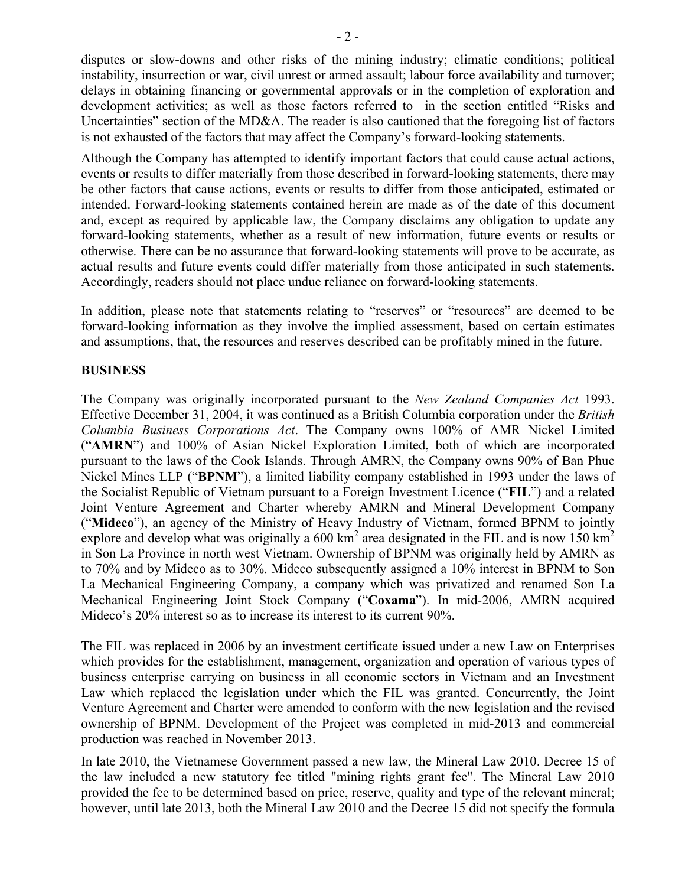disputes or slow-downs and other risks of the mining industry; climatic conditions; political instability, insurrection or war, civil unrest or armed assault; labour force availability and turnover; delays in obtaining financing or governmental approvals or in the completion of exploration and development activities; as well as those factors referred to in the section entitled "Risks and Uncertainties" section of the MD&A. The reader is also cautioned that the foregoing list of factors is not exhausted of the factors that may affect the Company's forward-looking statements.

Although the Company has attempted to identify important factors that could cause actual actions, events or results to differ materially from those described in forward-looking statements, there may be other factors that cause actions, events or results to differ from those anticipated, estimated or intended. Forward-looking statements contained herein are made as of the date of this document and, except as required by applicable law, the Company disclaims any obligation to update any forward-looking statements, whether as a result of new information, future events or results or otherwise. There can be no assurance that forward-looking statements will prove to be accurate, as actual results and future events could differ materially from those anticipated in such statements. Accordingly, readers should not place undue reliance on forward-looking statements.

In addition, please note that statements relating to "reserves" or "resources" are deemed to be forward-looking information as they involve the implied assessment, based on certain estimates and assumptions, that, the resources and reserves described can be profitably mined in the future.

#### **BUSINESS**

The Company was originally incorporated pursuant to the *New Zealand Companies Act* 1993. Effective December 31, 2004, it was continued as a British Columbia corporation under the *British Columbia Business Corporations Act*. The Company owns 100% of AMR Nickel Limited ("**AMRN**") and 100% of Asian Nickel Exploration Limited, both of which are incorporated pursuant to the laws of the Cook Islands. Through AMRN, the Company owns 90% of Ban Phuc Nickel Mines LLP ("**BPNM**"), a limited liability company established in 1993 under the laws of the Socialist Republic of Vietnam pursuant to a Foreign Investment Licence ("**FIL**") and a related Joint Venture Agreement and Charter whereby AMRN and Mineral Development Company ("**Mideco**"), an agency of the Ministry of Heavy Industry of Vietnam, formed BPNM to jointly explore and develop what was originally a 600 km<sup>2</sup> area designated in the FIL and is now 150 km<sup>2</sup> in Son La Province in north west Vietnam. Ownership of BPNM was originally held by AMRN as to 70% and by Mideco as to 30%. Mideco subsequently assigned a 10% interest in BPNM to Son La Mechanical Engineering Company, a company which was privatized and renamed Son La Mechanical Engineering Joint Stock Company ("**Coxama**"). In mid-2006, AMRN acquired Mideco's 20% interest so as to increase its interest to its current 90%.

The FIL was replaced in 2006 by an investment certificate issued under a new Law on Enterprises which provides for the establishment, management, organization and operation of various types of business enterprise carrying on business in all economic sectors in Vietnam and an Investment Law which replaced the legislation under which the FIL was granted. Concurrently, the Joint Venture Agreement and Charter were amended to conform with the new legislation and the revised ownership of BPNM. Development of the Project was completed in mid-2013 and commercial production was reached in November 2013.

In late 2010, the Vietnamese Government passed a new law, the Mineral Law 2010. Decree 15 of the law included a new statutory fee titled "mining rights grant fee". The Mineral Law 2010 provided the fee to be determined based on price, reserve, quality and type of the relevant mineral; however, until late 2013, both the Mineral Law 2010 and the Decree 15 did not specify the formula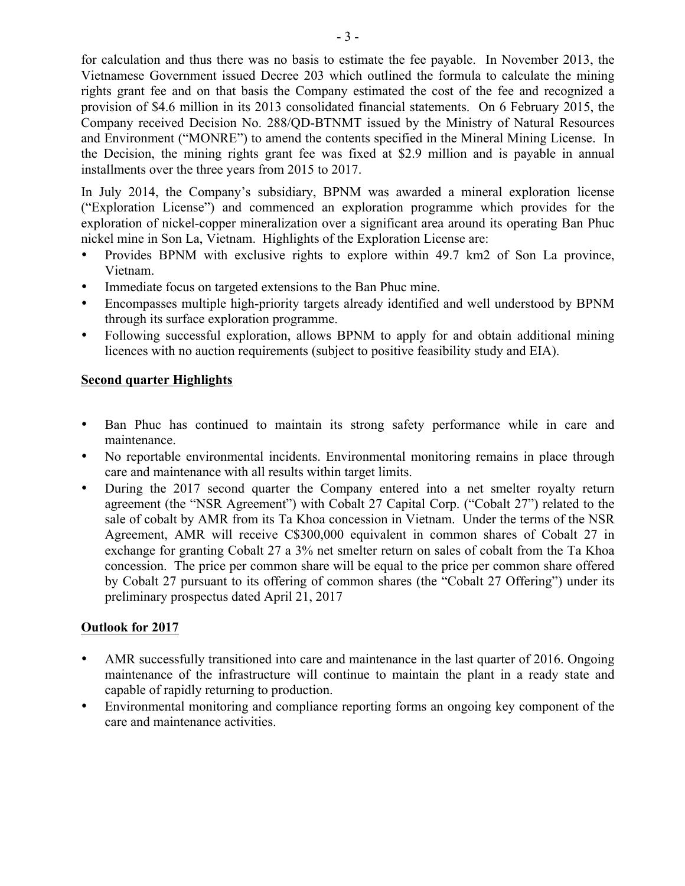for calculation and thus there was no basis to estimate the fee payable. In November 2013, the Vietnamese Government issued Decree 203 which outlined the formula to calculate the mining rights grant fee and on that basis the Company estimated the cost of the fee and recognized a provision of \$4.6 million in its 2013 consolidated financial statements. On 6 February 2015, the Company received Decision No. 288/QD-BTNMT issued by the Ministry of Natural Resources and Environment ("MONRE") to amend the contents specified in the Mineral Mining License. In the Decision, the mining rights grant fee was fixed at \$2.9 million and is payable in annual installments over the three years from 2015 to 2017.

In July 2014, the Company's subsidiary, BPNM was awarded a mineral exploration license ("Exploration License") and commenced an exploration programme which provides for the exploration of nickel-copper mineralization over a significant area around its operating Ban Phuc nickel mine in Son La, Vietnam. Highlights of the Exploration License are:

- Provides BPNM with exclusive rights to explore within 49.7 km2 of Son La province, Vietnam.
- Immediate focus on targeted extensions to the Ban Phuc mine.
- Encompasses multiple high-priority targets already identified and well understood by BPNM through its surface exploration programme.
- Following successful exploration, allows BPNM to apply for and obtain additional mining licences with no auction requirements (subject to positive feasibility study and EIA).

### **Second quarter Highlights**

- Ban Phuc has continued to maintain its strong safety performance while in care and maintenance.
- No reportable environmental incidents. Environmental monitoring remains in place through care and maintenance with all results within target limits.
- During the 2017 second quarter the Company entered into a net smelter royalty return agreement (the "NSR Agreement") with Cobalt 27 Capital Corp. ("Cobalt 27") related to the sale of cobalt by AMR from its Ta Khoa concession in Vietnam. Under the terms of the NSR Agreement, AMR will receive C\$300,000 equivalent in common shares of Cobalt 27 in exchange for granting Cobalt 27 a 3% net smelter return on sales of cobalt from the Ta Khoa concession. The price per common share will be equal to the price per common share offered by Cobalt 27 pursuant to its offering of common shares (the "Cobalt 27 Offering") under its preliminary prospectus dated April 21, 2017

### **Outlook for 2017**

- AMR successfully transitioned into care and maintenance in the last quarter of 2016. Ongoing maintenance of the infrastructure will continue to maintain the plant in a ready state and capable of rapidly returning to production.
- Environmental monitoring and compliance reporting forms an ongoing key component of the care and maintenance activities.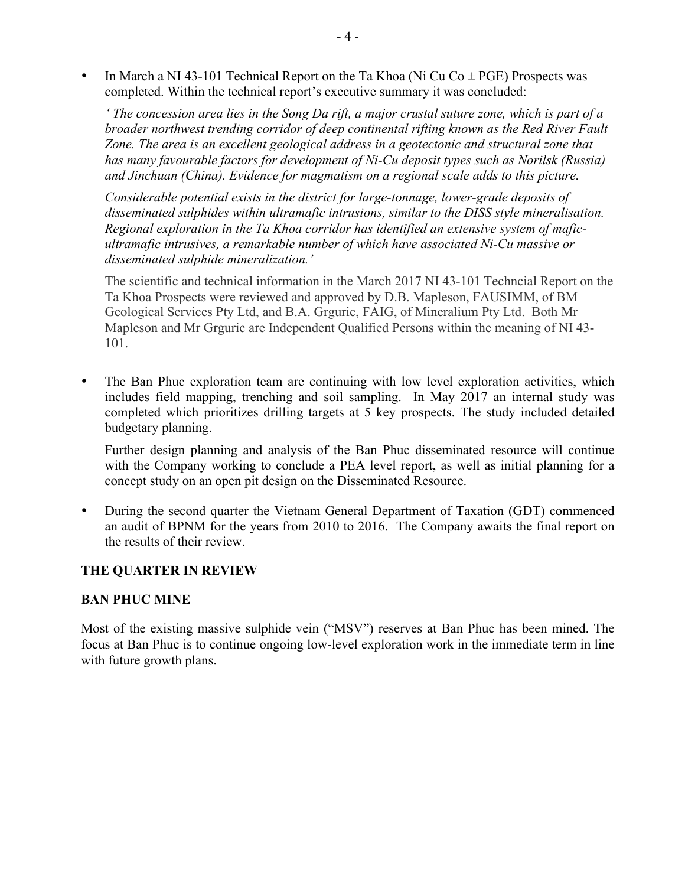In March a NI 43-101 Technical Report on the Ta Khoa (Ni Cu  $Co \pm PGE$ ) Prospects was completed. Within the technical report's executive summary it was concluded:

*' The concession area lies in the Song Da rift, a major crustal suture zone, which is part of a broader northwest trending corridor of deep continental rifting known as the Red River Fault Zone. The area is an excellent geological address in a geotectonic and structural zone that has many favourable factors for development of Ni-Cu deposit types such as Norilsk (Russia) and Jinchuan (China). Evidence for magmatism on a regional scale adds to this picture.* 

*Considerable potential exists in the district for large-tonnage, lower-grade deposits of disseminated sulphides within ultramafic intrusions, similar to the DISS style mineralisation. Regional exploration in the Ta Khoa corridor has identified an extensive system of maficultramafic intrusives, a remarkable number of which have associated Ni-Cu massive or disseminated sulphide mineralization.'*

The scientific and technical information in the March 2017 NI 43-101 Techncial Report on the Ta Khoa Prospects were reviewed and approved by D.B. Mapleson, FAUSIMM, of BM Geological Services Pty Ltd, and B.A. Grguric, FAIG, of Mineralium Pty Ltd. Both Mr Mapleson and Mr Grguric are Independent Qualified Persons within the meaning of NI 43- 101.

The Ban Phuc exploration team are continuing with low level exploration activities, which includes field mapping, trenching and soil sampling. In May 2017 an internal study was completed which prioritizes drilling targets at 5 key prospects. The study included detailed budgetary planning.

Further design planning and analysis of the Ban Phuc disseminated resource will continue with the Company working to conclude a PEA level report, as well as initial planning for a concept study on an open pit design on the Disseminated Resource.

• During the second quarter the Vietnam General Department of Taxation (GDT) commenced an audit of BPNM for the years from 2010 to 2016. The Company awaits the final report on the results of their review.

### **THE QUARTER IN REVIEW**

### **BAN PHUC MINE**

Most of the existing massive sulphide vein ("MSV") reserves at Ban Phuc has been mined. The focus at Ban Phuc is to continue ongoing low-level exploration work in the immediate term in line with future growth plans.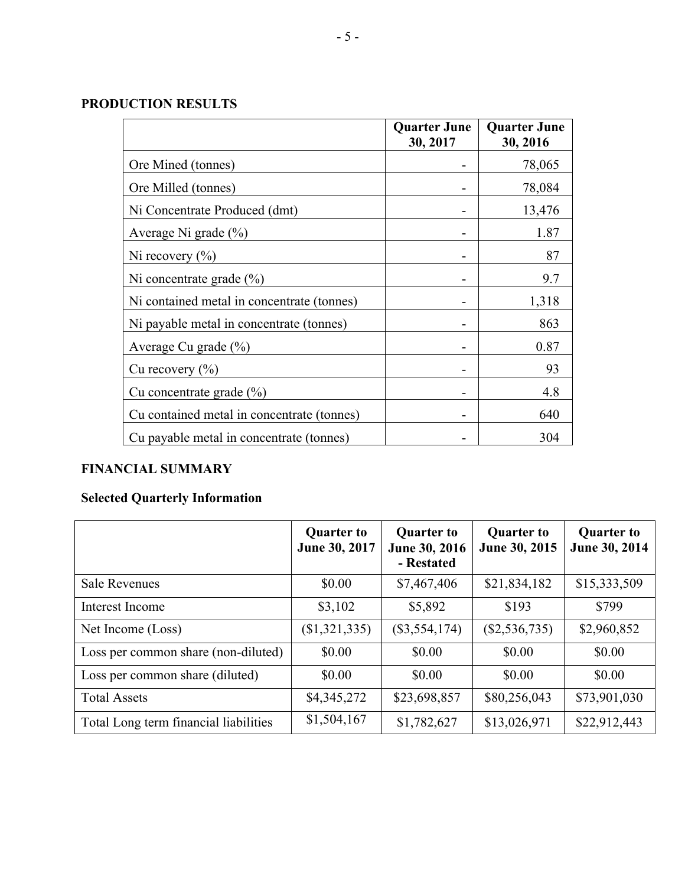# **PRODUCTION RESULTS**

|                                            | <b>Quarter June</b><br>30, 2017 | <b>Quarter June</b><br>30, 2016 |
|--------------------------------------------|---------------------------------|---------------------------------|
| Ore Mined (tonnes)                         |                                 | 78,065                          |
| Ore Milled (tonnes)                        |                                 | 78,084                          |
| Ni Concentrate Produced (dmt)              |                                 | 13,476                          |
| Average Ni grade (%)                       |                                 | 1.87                            |
| Ni recovery $(\%$ )                        |                                 | 87                              |
| Ni concentrate grade $(\% )$               |                                 | 9.7                             |
| Ni contained metal in concentrate (tonnes) |                                 | 1,318                           |
| Ni payable metal in concentrate (tonnes)   |                                 | 863                             |
| Average Cu grade $(\%)$                    |                                 | 0.87                            |
| Cu recovery $(\%$ )                        |                                 | 93                              |
| Cu concentrate grade $(\% )$               |                                 | 4.8                             |
| Cu contained metal in concentrate (tonnes) |                                 | 640                             |
| Cu payable metal in concentrate (tonnes)   |                                 | 304                             |

## **FINANCIAL SUMMARY**

# **Selected Quarterly Information**

|                                       | <b>Quarter to</b><br>June 30, 2017 | <b>Quarter to</b><br>June 30, 2016<br>- Restated | <b>Quarter to</b><br>June 30, 2015 | <b>Quarter to</b><br>June 30, 2014 |
|---------------------------------------|------------------------------------|--------------------------------------------------|------------------------------------|------------------------------------|
| <b>Sale Revenues</b>                  | \$0.00                             | \$7,467,406                                      | \$21,834,182                       | \$15,333,509                       |
| Interest Income                       | \$3,102                            | \$5,892                                          | \$193                              | \$799                              |
| Net Income (Loss)                     | (\$1,321,335)                      | $(\$3,554,174)$                                  | $(\$2,536,735)$                    | \$2,960,852                        |
| Loss per common share (non-diluted)   | \$0.00                             | \$0.00                                           | \$0.00                             | \$0.00                             |
| Loss per common share (diluted)       | \$0.00                             | \$0.00                                           | \$0.00                             | \$0.00                             |
| <b>Total Assets</b>                   | \$4,345,272                        | \$23,698,857                                     | \$80,256,043                       | \$73,901,030                       |
| Total Long term financial liabilities | \$1,504,167                        | \$1,782,627                                      | \$13,026,971                       | \$22,912,443                       |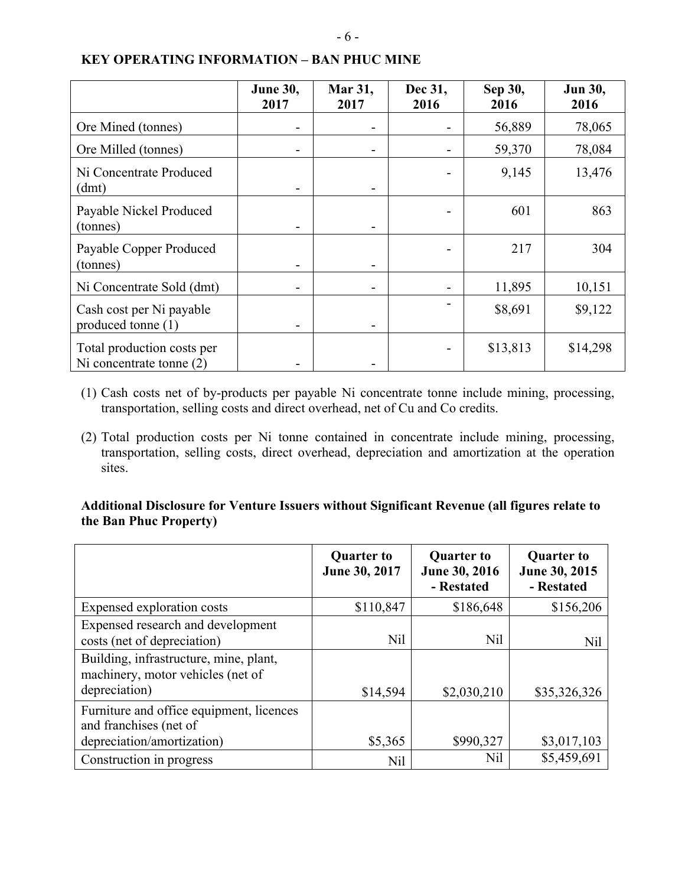|                                                          | <b>June 30,</b><br>2017 | Mar 31,<br>2017 | Dec 31,<br>2016 | Sep 30,<br>2016 | <b>Jun 30,</b><br>2016 |
|----------------------------------------------------------|-------------------------|-----------------|-----------------|-----------------|------------------------|
| Ore Mined (tonnes)                                       |                         |                 |                 | 56,889          | 78,065                 |
| Ore Milled (tonnes)                                      |                         |                 |                 | 59,370          | 78,084                 |
| Ni Concentrate Produced<br>(dmt)                         |                         |                 |                 | 9,145           | 13,476                 |
| Payable Nickel Produced<br>(tonnes)                      |                         |                 |                 | 601             | 863                    |
| Payable Copper Produced<br>(tonnes)                      |                         |                 |                 | 217             | 304                    |
| Ni Concentrate Sold (dmt)                                |                         |                 |                 | 11,895          | 10,151                 |
| Cash cost per Ni payable<br>produced tonne (1)           |                         |                 |                 | \$8,691         | \$9,122                |
| Total production costs per<br>Ni concentrate tonne $(2)$ |                         |                 |                 | \$13,813        | \$14,298               |

### **KEY OPERATING INFORMATION – BAN PHUC MINE**

- (1) Cash costs net of by-products per payable Ni concentrate tonne include mining, processing, transportation, selling costs and direct overhead, net of Cu and Co credits.
- (2) Total production costs per Ni tonne contained in concentrate include mining, processing, transportation, selling costs, direct overhead, depreciation and amortization at the operation sites.

### **Additional Disclosure for Venture Issuers without Significant Revenue (all figures relate to the Ban Phuc Property)**

|                                                                                                  | <b>Quarter to</b><br>June 30, 2017 | <b>Quarter to</b><br>June 30, 2016<br>- Restated | <b>Quarter to</b><br>June 30, 2015<br>- Restated |
|--------------------------------------------------------------------------------------------------|------------------------------------|--------------------------------------------------|--------------------------------------------------|
| Expensed exploration costs                                                                       | \$110,847                          | \$186,648                                        | \$156,206                                        |
| Expensed research and development<br>costs (net of depreciation)                                 | N <sub>il</sub>                    | N <sub>il</sub>                                  | Nil                                              |
| Building, infrastructure, mine, plant,<br>machinery, motor vehicles (net of<br>depreciation)     | \$14,594                           | \$2,030,210                                      | \$35,326,326                                     |
| Furniture and office equipment, licences<br>and franchises (net of<br>depreciation/amortization) | \$5,365                            | \$990,327                                        | \$3,017,103                                      |
| Construction in progress                                                                         | Nil                                | Nil                                              | \$5,459,691                                      |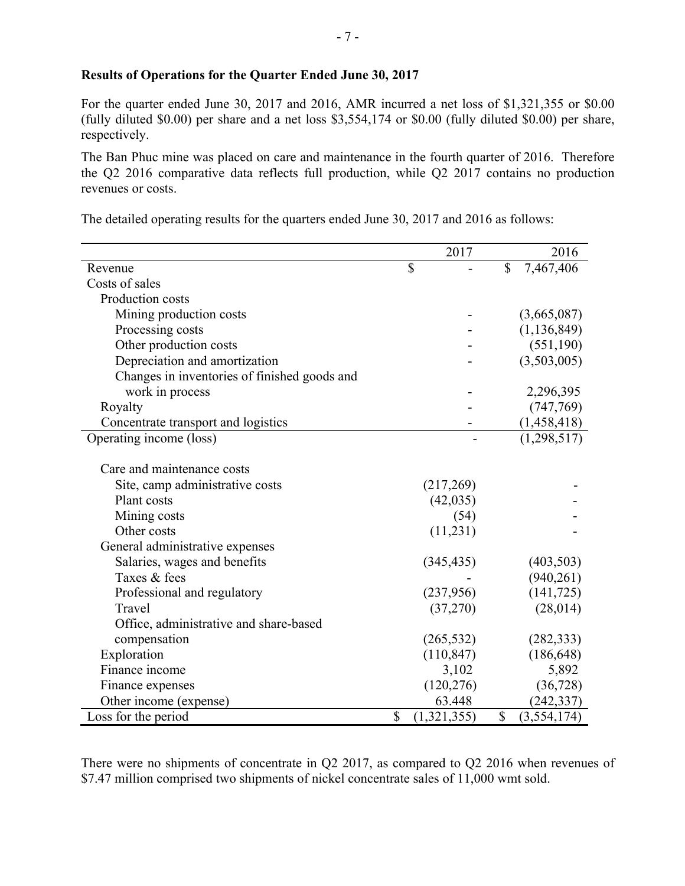### **Results of Operations for the Quarter Ended June 30, 2017**

For the quarter ended June 30, 2017 and 2016, AMR incurred a net loss of \$1,321,355 or \$0.00 (fully diluted \$0.00) per share and a net loss \$3,554,174 or \$0.00 (fully diluted \$0.00) per share, respectively.

The Ban Phuc mine was placed on care and maintenance in the fourth quarter of 2016. Therefore the Q2 2016 comparative data reflects full production, while Q2 2017 contains no production revenues or costs.

The detailed operating results for the quarters ended June 30, 2017 and 2016 as follows:

|                                              |      | 2017        |              | 2016          |
|----------------------------------------------|------|-------------|--------------|---------------|
| Revenue                                      |      | \$          | $\mathbb{S}$ | 7,467,406     |
| Costs of sales                               |      |             |              |               |
| Production costs                             |      |             |              |               |
| Mining production costs                      |      |             |              | (3,665,087)   |
| Processing costs                             |      |             |              | (1, 136, 849) |
| Other production costs                       |      |             |              | (551, 190)    |
| Depreciation and amortization                |      |             |              | (3,503,005)   |
| Changes in inventories of finished goods and |      |             |              |               |
| work in process                              |      |             |              | 2,296,395     |
| Royalty                                      |      |             |              | (747,769)     |
| Concentrate transport and logistics          |      |             |              | (1,458,418)   |
| Operating income (loss)                      |      |             |              | (1,298,517)   |
|                                              |      |             |              |               |
| Care and maintenance costs                   |      |             |              |               |
| Site, camp administrative costs              |      | (217,269)   |              |               |
| Plant costs                                  |      | (42, 035)   |              |               |
| Mining costs                                 | (54) |             |              |               |
| Other costs                                  |      | (11, 231)   |              |               |
| General administrative expenses              |      |             |              |               |
| Salaries, wages and benefits                 |      | (345, 435)  |              | (403, 503)    |
| Taxes & fees                                 |      |             |              | (940, 261)    |
| Professional and regulatory                  |      | (237, 956)  |              | (141, 725)    |
| Travel                                       |      | (37,270)    |              | (28, 014)     |
| Office, administrative and share-based       |      |             |              |               |
| compensation                                 |      | (265, 532)  |              | (282, 333)    |
| Exploration                                  |      | (110, 847)  |              | (186, 648)    |
| Finance income                               |      | 3,102       |              | 5,892         |
| Finance expenses                             |      | (120, 276)  |              | (36, 728)     |
| Other income (expense)                       |      | 63.448      |              | (242, 337)    |
| Loss for the period                          | \$   | (1,321,355) | $\mathbb{S}$ | (3, 554, 174) |

There were no shipments of concentrate in Q2 2017, as compared to Q2 2016 when revenues of \$7.47 million comprised two shipments of nickel concentrate sales of 11,000 wmt sold.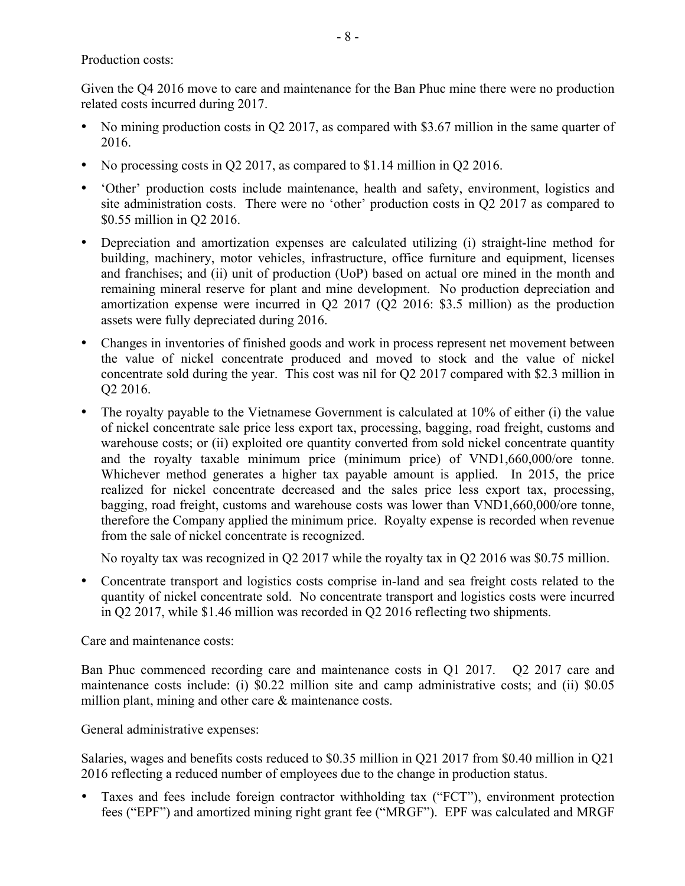Production costs:

Given the Q4 2016 move to care and maintenance for the Ban Phuc mine there were no production related costs incurred during 2017.

- No mining production costs in Q2 2017, as compared with \$3.67 million in the same quarter of 2016.
- No processing costs in Q2 2017, as compared to \$1.14 million in Q2 2016.
- 'Other' production costs include maintenance, health and safety, environment, logistics and site administration costs. There were no 'other' production costs in Q2 2017 as compared to \$0.55 million in Q2 2016.
- Depreciation and amortization expenses are calculated utilizing (i) straight-line method for building, machinery, motor vehicles, infrastructure, office furniture and equipment, licenses and franchises; and (ii) unit of production (UoP) based on actual ore mined in the month and remaining mineral reserve for plant and mine development. No production depreciation and amortization expense were incurred in Q2 2017 (Q2 2016: \$3.5 million) as the production assets were fully depreciated during 2016.
- Changes in inventories of finished goods and work in process represent net movement between the value of nickel concentrate produced and moved to stock and the value of nickel concentrate sold during the year. This cost was nil for Q2 2017 compared with \$2.3 million in Q2 2016.
- The royalty payable to the Vietnamese Government is calculated at 10% of either (i) the value of nickel concentrate sale price less export tax, processing, bagging, road freight, customs and warehouse costs; or (ii) exploited ore quantity converted from sold nickel concentrate quantity and the royalty taxable minimum price (minimum price) of VND1,660,000/ore tonne. Whichever method generates a higher tax payable amount is applied. In 2015, the price realized for nickel concentrate decreased and the sales price less export tax, processing, bagging, road freight, customs and warehouse costs was lower than VND1,660,000/ore tonne, therefore the Company applied the minimum price. Royalty expense is recorded when revenue from the sale of nickel concentrate is recognized.

No royalty tax was recognized in Q2 2017 while the royalty tax in Q2 2016 was \$0.75 million.

• Concentrate transport and logistics costs comprise in-land and sea freight costs related to the quantity of nickel concentrate sold. No concentrate transport and logistics costs were incurred in Q2 2017, while \$1.46 million was recorded in Q2 2016 reflecting two shipments.

Care and maintenance costs:

Ban Phuc commenced recording care and maintenance costs in Q1 2017. Q2 2017 care and maintenance costs include: (i) \$0.22 million site and camp administrative costs; and (ii) \$0.05 million plant, mining and other care & maintenance costs.

General administrative expenses:

Salaries, wages and benefits costs reduced to \$0.35 million in Q21 2017 from \$0.40 million in Q21 2016 reflecting a reduced number of employees due to the change in production status.

• Taxes and fees include foreign contractor withholding tax ("FCT"), environment protection fees ("EPF") and amortized mining right grant fee ("MRGF"). EPF was calculated and MRGF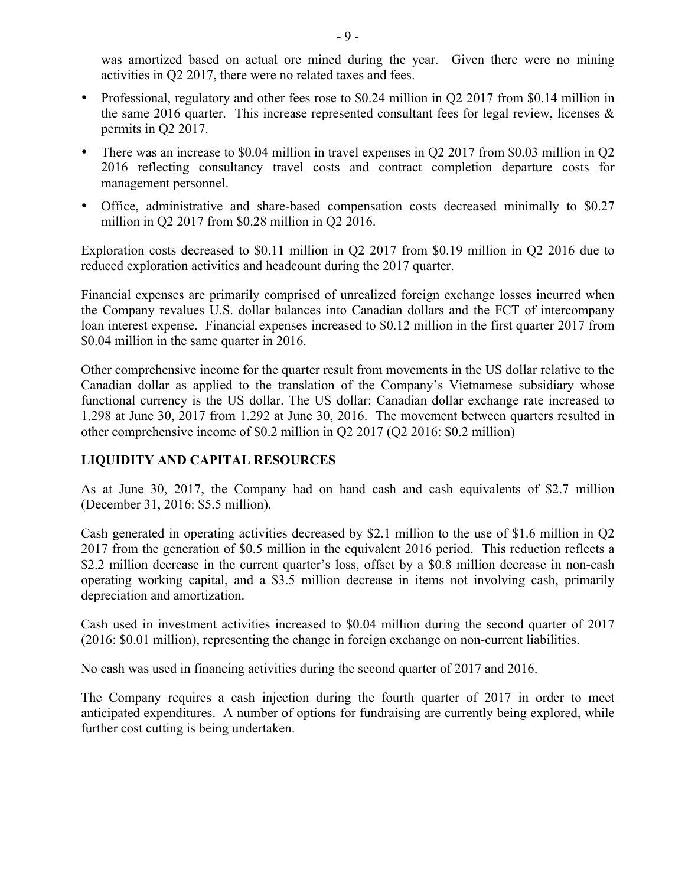was amortized based on actual ore mined during the year. Given there were no mining activities in Q2 2017, there were no related taxes and fees.

- Professional, regulatory and other fees rose to \$0.24 million in Q2 2017 from \$0.14 million in the same 2016 quarter. This increase represented consultant fees for legal review, licenses  $\&$ permits in Q2 2017.
- There was an increase to \$0.04 million in travel expenses in Q2 2017 from \$0.03 million in Q2 2016 reflecting consultancy travel costs and contract completion departure costs for management personnel.
- Office, administrative and share-based compensation costs decreased minimally to \$0.27 million in Q2 2017 from \$0.28 million in Q2 2016.

Exploration costs decreased to \$0.11 million in Q2 2017 from \$0.19 million in Q2 2016 due to reduced exploration activities and headcount during the 2017 quarter.

Financial expenses are primarily comprised of unrealized foreign exchange losses incurred when the Company revalues U.S. dollar balances into Canadian dollars and the FCT of intercompany loan interest expense. Financial expenses increased to \$0.12 million in the first quarter 2017 from \$0.04 million in the same quarter in 2016.

Other comprehensive income for the quarter result from movements in the US dollar relative to the Canadian dollar as applied to the translation of the Company's Vietnamese subsidiary whose functional currency is the US dollar. The US dollar: Canadian dollar exchange rate increased to 1.298 at June 30, 2017 from 1.292 at June 30, 2016. The movement between quarters resulted in other comprehensive income of \$0.2 million in Q2 2017 (Q2 2016: \$0.2 million)

### **LIQUIDITY AND CAPITAL RESOURCES**

As at June 30, 2017, the Company had on hand cash and cash equivalents of \$2.7 million (December 31, 2016: \$5.5 million).

Cash generated in operating activities decreased by \$2.1 million to the use of \$1.6 million in Q2 2017 from the generation of \$0.5 million in the equivalent 2016 period. This reduction reflects a \$2.2 million decrease in the current quarter's loss, offset by a \$0.8 million decrease in non-cash operating working capital, and a \$3.5 million decrease in items not involving cash, primarily depreciation and amortization.

Cash used in investment activities increased to \$0.04 million during the second quarter of 2017 (2016: \$0.01 million), representing the change in foreign exchange on non-current liabilities.

No cash was used in financing activities during the second quarter of 2017 and 2016.

The Company requires a cash injection during the fourth quarter of 2017 in order to meet anticipated expenditures. A number of options for fundraising are currently being explored, while further cost cutting is being undertaken.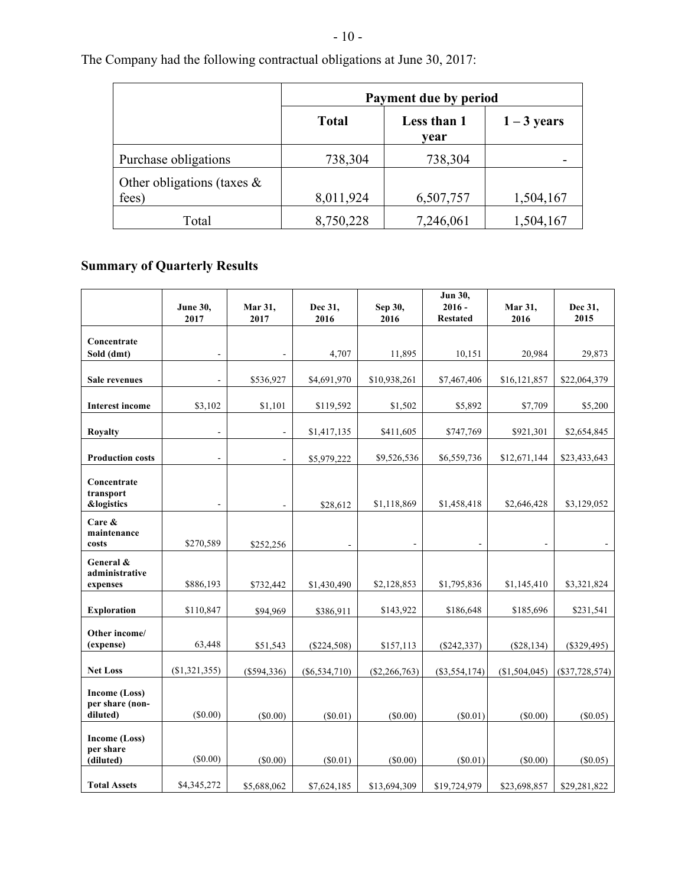# - 10 -

|                                        | Payment due by period |                     |               |  |  |
|----------------------------------------|-----------------------|---------------------|---------------|--|--|
|                                        | <b>Total</b>          | Less than 1<br>vear | $1 - 3$ years |  |  |
| Purchase obligations                   | 738,304               | 738,304             |               |  |  |
| Other obligations (taxes $\&$<br>fees) | 8,011,924             | 6,507,757           | 1,504,167     |  |  |
| Total                                  | 8,750,228             | 7,246,061           | 1,504,167     |  |  |

The Company had the following contractual obligations at June 30, 2017:

# **Summary of Quarterly Results**

|                                                     | June 30,<br>2017             | Mar 31,<br>2017          | Dec 31,<br>2016 | Sep 30,<br>2016 | Jun 30,<br>$2016 -$<br><b>Restated</b> | Mar 31,<br>2016 | Dec 31,<br>2015  |
|-----------------------------------------------------|------------------------------|--------------------------|-----------------|-----------------|----------------------------------------|-----------------|------------------|
| Concentrate<br>Sold (dmt)                           | $\blacksquare$               |                          | 4,707           | 11,895          | 10,151                                 | 20,984          | 29,873           |
| <b>Sale revenues</b>                                |                              | \$536,927                | \$4,691,970     | \$10,938,261    | \$7,467,406                            | \$16,121,857    | \$22,064,379     |
| <b>Interest income</b>                              | \$3,102                      | \$1,101                  | \$119,592       | \$1,502         | \$5,892                                | \$7,709         | \$5,200          |
| <b>Royalty</b>                                      | ÷,                           | $\blacksquare$           | \$1,417,135     | \$411,605       | \$747,769                              | \$921,301       | \$2,654,845      |
| <b>Production costs</b>                             | $\overline{\phantom{a}}$     | $\blacksquare$           | \$5,979,222     | \$9,526,536     | \$6,559,736                            | \$12,671,144    | \$23,433,643     |
| Concentrate<br>transport<br><b>&amp;logistics</b>   | $\qquad \qquad \blacksquare$ | $\overline{\phantom{a}}$ | \$28,612        | \$1,118,869     | \$1,458,418                            | \$2,646,428     | \$3,129,052      |
| Care &<br>maintenance<br>costs                      | \$270,589                    | \$252,256                |                 |                 |                                        |                 |                  |
| General &<br>administrative<br>expenses             | \$886,193                    | \$732,442                | \$1,430,490     | \$2,128,853     | \$1,795,836                            | \$1,145,410     | \$3,321,824      |
| <b>Exploration</b>                                  | \$110,847                    | \$94,969                 | \$386,911       | \$143,922       | \$186,648                              | \$185,696       | \$231,541        |
| Other income/<br>(expense)                          | 63,448                       | \$51,543                 | $(\$224,508)$   | \$157,113       | $(\$242,337)$                          | $(\$28,134)$    | $(\$329,495)$    |
| <b>Net Loss</b>                                     | (\$1,321,355)                | $(\$594,336)$            | $(\$6,534,710)$ | $(\$2,266,763)$ | $(\$3,554,174)$                        | (\$1,504,045)   | $(\$37,728,574)$ |
| <b>Income (Loss)</b><br>per share (non-<br>diluted) | $(\$0.00)$                   | (\$0.00)                 | $(\$0.01)$      | (\$0.00)        | (\$0.01)                               | (\$0.00)        | (\$0.05)         |
| <b>Income (Loss)</b><br>per share<br>(diluted)      | $(\$0.00)$                   | (S0.00)                  | $(\$0.01)$      | (S0.00)         | (S0.01)                                | (\$0.00)        | (\$0.05)         |
| <b>Total Assets</b>                                 | \$4,345,272                  | \$5,688,062              | \$7,624,185     | \$13,694,309    | \$19,724,979                           | \$23,698,857    | \$29,281,822     |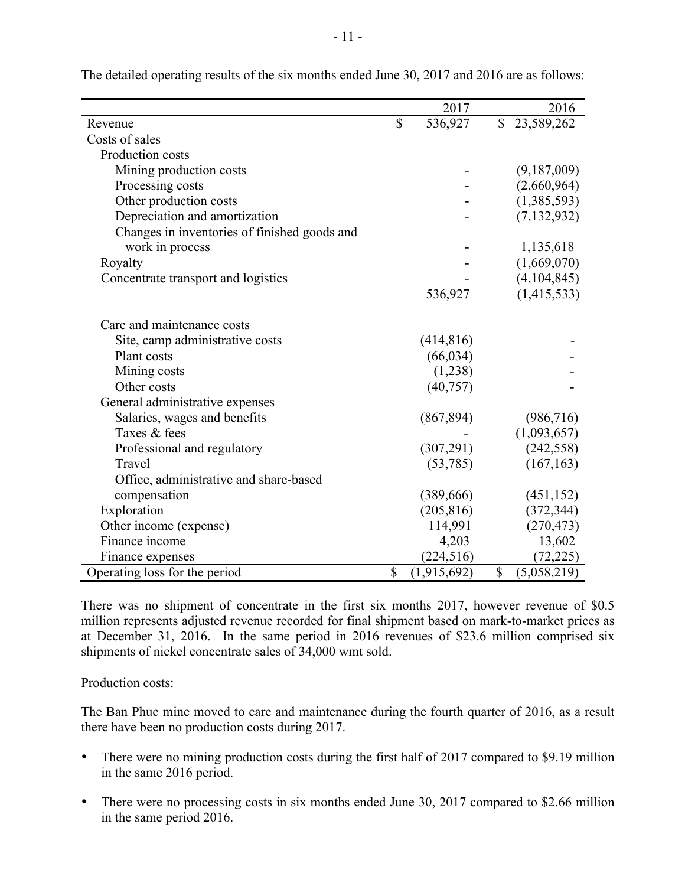|                                              | 2017              |              | 2016          |
|----------------------------------------------|-------------------|--------------|---------------|
| Revenue                                      | \$<br>536,927     | $\mathbb{S}$ | 23,589,262    |
| Costs of sales                               |                   |              |               |
| Production costs                             |                   |              |               |
| Mining production costs                      |                   |              | (9,187,009)   |
| Processing costs                             |                   |              | (2,660,964)   |
|                                              |                   |              |               |
| Other production costs                       |                   |              | (1,385,593)   |
| Depreciation and amortization                |                   |              | (7, 132, 932) |
| Changes in inventories of finished goods and |                   |              |               |
| work in process                              |                   |              | 1,135,618     |
| Royalty                                      |                   |              | (1,669,070)   |
| Concentrate transport and logistics          |                   |              | (4,104,845)   |
|                                              | 536,927           |              | (1,415,533)   |
|                                              |                   |              |               |
| Care and maintenance costs                   |                   |              |               |
| Site, camp administrative costs              | (414, 816)        |              |               |
| Plant costs                                  | (66, 034)         |              |               |
| Mining costs                                 | (1,238)           |              |               |
| Other costs                                  | (40, 757)         |              |               |
| General administrative expenses              |                   |              |               |
| Salaries, wages and benefits                 | (867, 894)        |              | (986, 716)    |
| Taxes & fees                                 |                   |              | (1,093,657)   |
| Professional and regulatory                  | (307, 291)        |              | (242, 558)    |
| Travel                                       | (53, 785)         |              | (167, 163)    |
| Office, administrative and share-based       |                   |              |               |
| compensation                                 | (389, 666)        |              | (451, 152)    |
| Exploration                                  | (205, 816)        |              | (372, 344)    |
| Other income (expense)                       | 114,991           |              | (270, 473)    |
| Finance income                               | 4,203             |              | 13,602        |
|                                              | (224, 516)        |              |               |
| Finance expenses                             |                   |              | (72, 225)     |
| Operating loss for the period                | \$<br>(1,915,692) | \$           | (5,058,219)   |

The detailed operating results of the six months ended June 30, 2017 and 2016 are as follows:

There was no shipment of concentrate in the first six months 2017, however revenue of \$0.5 million represents adjusted revenue recorded for final shipment based on mark-to-market prices as at December 31, 2016. In the same period in 2016 revenues of \$23.6 million comprised six shipments of nickel concentrate sales of 34,000 wmt sold.

Production costs:

The Ban Phuc mine moved to care and maintenance during the fourth quarter of 2016, as a result there have been no production costs during 2017.

- There were no mining production costs during the first half of 2017 compared to \$9.19 million in the same 2016 period.
- There were no processing costs in six months ended June 30, 2017 compared to \$2.66 million in the same period 2016.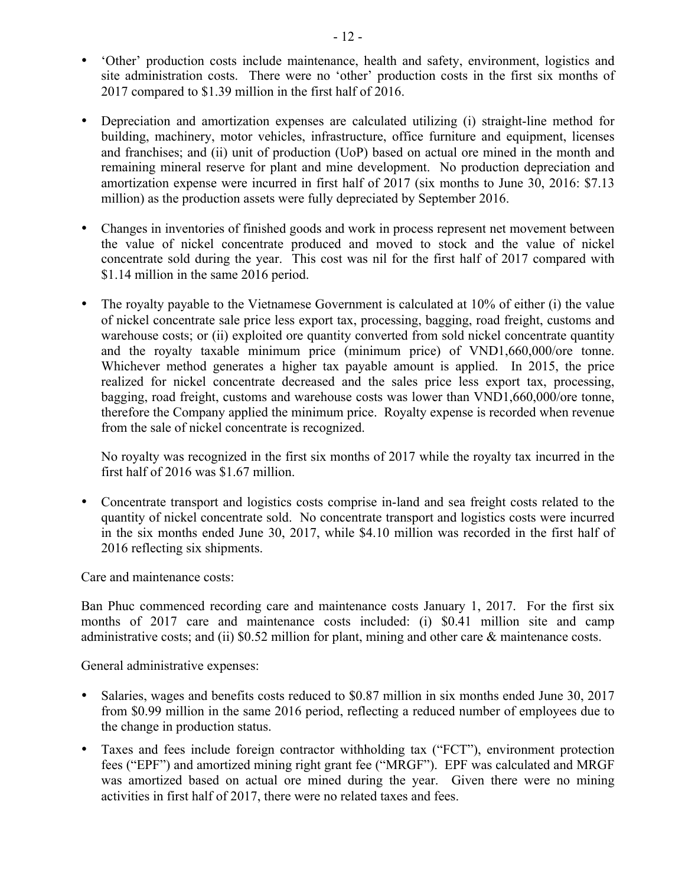- 'Other' production costs include maintenance, health and safety, environment, logistics and site administration costs. There were no 'other' production costs in the first six months of 2017 compared to \$1.39 million in the first half of 2016.
- Depreciation and amortization expenses are calculated utilizing (i) straight-line method for building, machinery, motor vehicles, infrastructure, office furniture and equipment, licenses and franchises; and (ii) unit of production (UoP) based on actual ore mined in the month and remaining mineral reserve for plant and mine development. No production depreciation and amortization expense were incurred in first half of 2017 (six months to June 30, 2016: \$7.13 million) as the production assets were fully depreciated by September 2016.
- Changes in inventories of finished goods and work in process represent net movement between the value of nickel concentrate produced and moved to stock and the value of nickel concentrate sold during the year. This cost was nil for the first half of 2017 compared with \$1.14 million in the same 2016 period.
- The royalty payable to the Vietnamese Government is calculated at 10% of either (i) the value of nickel concentrate sale price less export tax, processing, bagging, road freight, customs and warehouse costs; or (ii) exploited ore quantity converted from sold nickel concentrate quantity and the royalty taxable minimum price (minimum price) of VND1,660,000/ore tonne. Whichever method generates a higher tax payable amount is applied. In 2015, the price realized for nickel concentrate decreased and the sales price less export tax, processing, bagging, road freight, customs and warehouse costs was lower than VND1,660,000/ore tonne, therefore the Company applied the minimum price. Royalty expense is recorded when revenue from the sale of nickel concentrate is recognized.

No royalty was recognized in the first six months of 2017 while the royalty tax incurred in the first half of 2016 was \$1.67 million.

• Concentrate transport and logistics costs comprise in-land and sea freight costs related to the quantity of nickel concentrate sold. No concentrate transport and logistics costs were incurred in the six months ended June 30, 2017, while \$4.10 million was recorded in the first half of 2016 reflecting six shipments.

Care and maintenance costs:

Ban Phuc commenced recording care and maintenance costs January 1, 2017. For the first six months of 2017 care and maintenance costs included: (i) \$0.41 million site and camp administrative costs; and (ii) \$0.52 million for plant, mining and other care & maintenance costs.

General administrative expenses:

- Salaries, wages and benefits costs reduced to \$0.87 million in six months ended June 30, 2017 from \$0.99 million in the same 2016 period, reflecting a reduced number of employees due to the change in production status.
- Taxes and fees include foreign contractor withholding tax ("FCT"), environment protection fees ("EPF") and amortized mining right grant fee ("MRGF"). EPF was calculated and MRGF was amortized based on actual ore mined during the year. Given there were no mining activities in first half of 2017, there were no related taxes and fees.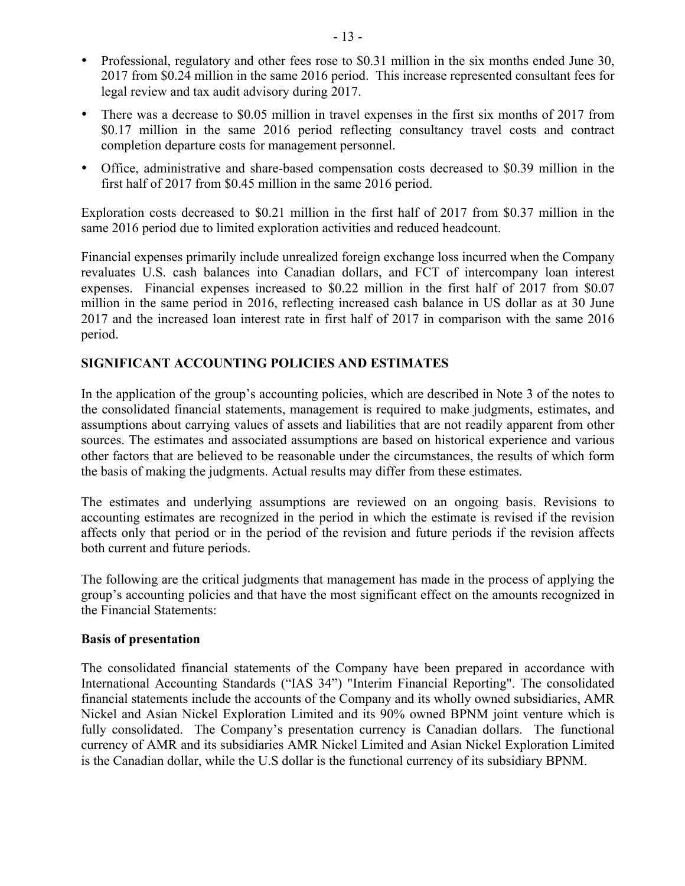- Professional, regulatory and other fees rose to \$0.31 million in the six months ended June 30, 2017 from \$0.24 million in the same 2016 period. This increase represented consultant fees for legal review and tax audit advisory during 2017.
- There was a decrease to \$0.05 million in travel expenses in the first six months of 2017 from \$0.17 million in the same 2016 period reflecting consultancy travel costs and contract completion departure costs for management personnel.
- Office, administrative and share-based compensation costs decreased to \$0.39 million in the first half of 2017 from \$0.45 million in the same 2016 period.

Exploration costs decreased to \$0.21 million in the first half of 2017 from \$0.37 million in the same 2016 period due to limited exploration activities and reduced headcount.

Financial expenses primarily include unrealized foreign exchange loss incurred when the Company revaluates U.S. cash balances into Canadian dollars, and FCT of intercompany loan interest expenses. Financial expenses increased to \$0.22 million in the first half of 2017 from \$0.07 million in the same period in 2016, reflecting increased cash balance in US dollar as at 30 June 2017 and the increased loan interest rate in first half of 2017 in comparison with the same 2016 period.

## **SIGNIFICANT ACCOUNTING POLICIES AND ESTIMATES**

In the application of the group's accounting policies, which are described in Note 3 of the notes to the consolidated financial statements, management is required to make judgments, estimates, and assumptions about carrying values of assets and liabilities that are not readily apparent from other sources. The estimates and associated assumptions are based on historical experience and various other factors that are believed to be reasonable under the circumstances, the results of which form the basis of making the judgments. Actual results may differ from these estimates.

The estimates and underlying assumptions are reviewed on an ongoing basis. Revisions to accounting estimates are recognized in the period in which the estimate is revised if the revision affects only that period or in the period of the revision and future periods if the revision affects both current and future periods.

The following are the critical judgments that management has made in the process of applying the group's accounting policies and that have the most significant effect on the amounts recognized in the Financial Statements:

### **Basis of presentation**

The consolidated financial statements of the Company have been prepared in accordance with International Accounting Standards ("IAS 34") "Interim Financial Reporting". The consolidated financial statements include the accounts of the Company and its wholly owned subsidiaries, AMR Nickel and Asian Nickel Exploration Limited and its 90% owned BPNM joint venture which is fully consolidated. The Company's presentation currency is Canadian dollars. The functional currency of AMR and its subsidiaries AMR Nickel Limited and Asian Nickel Exploration Limited is the Canadian dollar, while the U.S dollar is the functional currency of its subsidiary BPNM.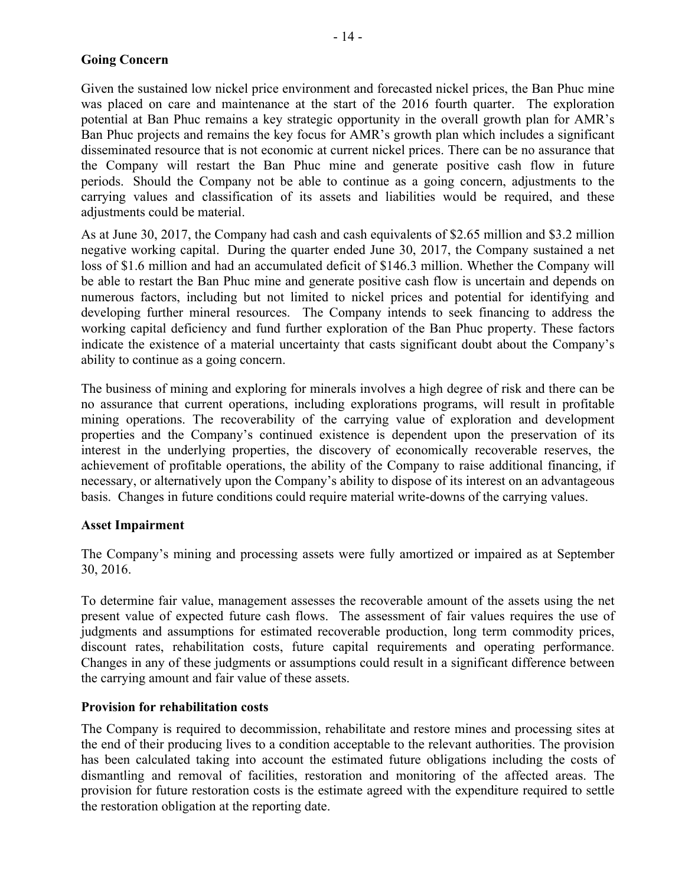**Going Concern**

Given the sustained low nickel price environment and forecasted nickel prices, the Ban Phuc mine was placed on care and maintenance at the start of the 2016 fourth quarter. The exploration potential at Ban Phuc remains a key strategic opportunity in the overall growth plan for AMR's Ban Phuc projects and remains the key focus for AMR's growth plan which includes a significant disseminated resource that is not economic at current nickel prices. There can be no assurance that the Company will restart the Ban Phuc mine and generate positive cash flow in future periods. Should the Company not be able to continue as a going concern, adjustments to the carrying values and classification of its assets and liabilities would be required, and these adjustments could be material.

As at June 30, 2017, the Company had cash and cash equivalents of \$2.65 million and \$3.2 million negative working capital. During the quarter ended June 30, 2017, the Company sustained a net loss of \$1.6 million and had an accumulated deficit of \$146.3 million. Whether the Company will be able to restart the Ban Phuc mine and generate positive cash flow is uncertain and depends on numerous factors, including but not limited to nickel prices and potential for identifying and developing further mineral resources. The Company intends to seek financing to address the working capital deficiency and fund further exploration of the Ban Phuc property. These factors indicate the existence of a material uncertainty that casts significant doubt about the Company's ability to continue as a going concern.

The business of mining and exploring for minerals involves a high degree of risk and there can be no assurance that current operations, including explorations programs, will result in profitable mining operations. The recoverability of the carrying value of exploration and development properties and the Company's continued existence is dependent upon the preservation of its interest in the underlying properties, the discovery of economically recoverable reserves, the achievement of profitable operations, the ability of the Company to raise additional financing, if necessary, or alternatively upon the Company's ability to dispose of its interest on an advantageous basis. Changes in future conditions could require material write-downs of the carrying values.

### **Asset Impairment**

The Company's mining and processing assets were fully amortized or impaired as at September 30, 2016.

To determine fair value, management assesses the recoverable amount of the assets using the net present value of expected future cash flows. The assessment of fair values requires the use of judgments and assumptions for estimated recoverable production, long term commodity prices, discount rates, rehabilitation costs, future capital requirements and operating performance. Changes in any of these judgments or assumptions could result in a significant difference between the carrying amount and fair value of these assets.

#### **Provision for rehabilitation costs**

The Company is required to decommission, rehabilitate and restore mines and processing sites at the end of their producing lives to a condition acceptable to the relevant authorities. The provision has been calculated taking into account the estimated future obligations including the costs of dismantling and removal of facilities, restoration and monitoring of the affected areas. The provision for future restoration costs is the estimate agreed with the expenditure required to settle the restoration obligation at the reporting date.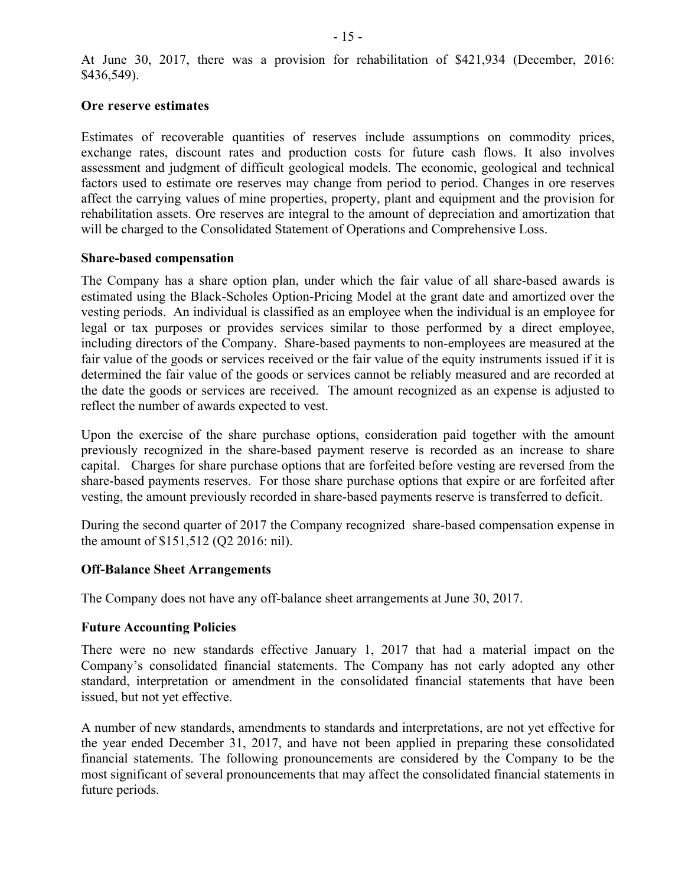#### **Ore reserve estimates**

Estimates of recoverable quantities of reserves include assumptions on commodity prices, exchange rates, discount rates and production costs for future cash flows. It also involves assessment and judgment of difficult geological models. The economic, geological and technical factors used to estimate ore reserves may change from period to period. Changes in ore reserves affect the carrying values of mine properties, property, plant and equipment and the provision for rehabilitation assets. Ore reserves are integral to the amount of depreciation and amortization that will be charged to the Consolidated Statement of Operations and Comprehensive Loss.

#### **Share-based compensation**

The Company has a share option plan, under which the fair value of all share-based awards is estimated using the Black-Scholes Option-Pricing Model at the grant date and amortized over the vesting periods. An individual is classified as an employee when the individual is an employee for legal or tax purposes or provides services similar to those performed by a direct employee, including directors of the Company. Share-based payments to non-employees are measured at the fair value of the goods or services received or the fair value of the equity instruments issued if it is determined the fair value of the goods or services cannot be reliably measured and are recorded at the date the goods or services are received. The amount recognized as an expense is adjusted to reflect the number of awards expected to vest.

Upon the exercise of the share purchase options, consideration paid together with the amount previously recognized in the share-based payment reserve is recorded as an increase to share capital. Charges for share purchase options that are forfeited before vesting are reversed from the share-based payments reserves. For those share purchase options that expire or are forfeited after vesting, the amount previously recorded in share-based payments reserve is transferred to deficit.

During the second quarter of 2017 the Company recognized share-based compensation expense in the amount of \$151,512 (Q2 2016: nil).

### **Off-Balance Sheet Arrangements**

The Company does not have any off-balance sheet arrangements at June 30, 2017.

### **Future Accounting Policies**

There were no new standards effective January 1, 2017 that had a material impact on the Company's consolidated financial statements. The Company has not early adopted any other standard, interpretation or amendment in the consolidated financial statements that have been issued, but not yet effective.

A number of new standards, amendments to standards and interpretations, are not yet effective for the year ended December 31, 2017, and have not been applied in preparing these consolidated financial statements. The following pronouncements are considered by the Company to be the most significant of several pronouncements that may affect the consolidated financial statements in future periods.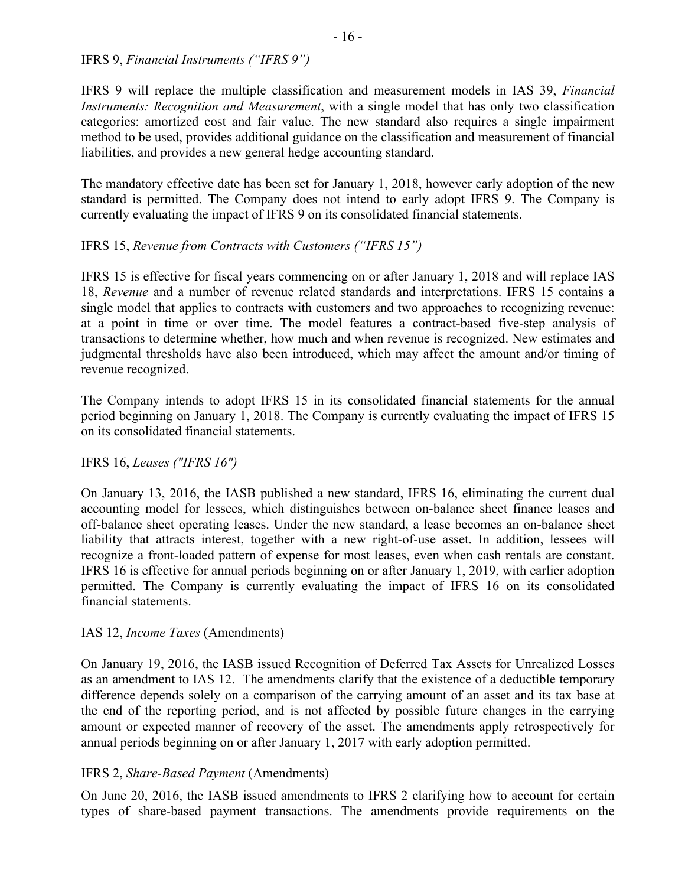### IFRS 9, *Financial Instruments ("IFRS 9")*

IFRS 9 will replace the multiple classification and measurement models in IAS 39, *Financial Instruments: Recognition and Measurement*, with a single model that has only two classification categories: amortized cost and fair value. The new standard also requires a single impairment method to be used, provides additional guidance on the classification and measurement of financial liabilities, and provides a new general hedge accounting standard.

The mandatory effective date has been set for January 1, 2018, however early adoption of the new standard is permitted. The Company does not intend to early adopt IFRS 9. The Company is currently evaluating the impact of IFRS 9 on its consolidated financial statements.

### IFRS 15, *Revenue from Contracts with Customers ("IFRS 15")*

IFRS 15 is effective for fiscal years commencing on or after January 1, 2018 and will replace IAS 18, *Revenue* and a number of revenue related standards and interpretations. IFRS 15 contains a single model that applies to contracts with customers and two approaches to recognizing revenue: at a point in time or over time. The model features a contract-based five-step analysis of transactions to determine whether, how much and when revenue is recognized. New estimates and judgmental thresholds have also been introduced, which may affect the amount and/or timing of revenue recognized.

The Company intends to adopt IFRS 15 in its consolidated financial statements for the annual period beginning on January 1, 2018. The Company is currently evaluating the impact of IFRS 15 on its consolidated financial statements.

### IFRS 16, *Leases ("IFRS 16")*

On January 13, 2016, the IASB published a new standard, IFRS 16, eliminating the current dual accounting model for lessees, which distinguishes between on-balance sheet finance leases and off-balance sheet operating leases. Under the new standard, a lease becomes an on-balance sheet liability that attracts interest, together with a new right-of-use asset. In addition, lessees will recognize a front-loaded pattern of expense for most leases, even when cash rentals are constant. IFRS 16 is effective for annual periods beginning on or after January 1, 2019, with earlier adoption permitted. The Company is currently evaluating the impact of IFRS 16 on its consolidated financial statements.

### IAS 12, *Income Taxes* (Amendments)

On January 19, 2016, the IASB issued Recognition of Deferred Tax Assets for Unrealized Losses as an amendment to IAS 12. The amendments clarify that the existence of a deductible temporary difference depends solely on a comparison of the carrying amount of an asset and its tax base at the end of the reporting period, and is not affected by possible future changes in the carrying amount or expected manner of recovery of the asset. The amendments apply retrospectively for annual periods beginning on or after January 1, 2017 with early adoption permitted.

### IFRS 2, *Share-Based Payment* (Amendments)

On June 20, 2016, the IASB issued amendments to IFRS 2 clarifying how to account for certain types of share-based payment transactions. The amendments provide requirements on the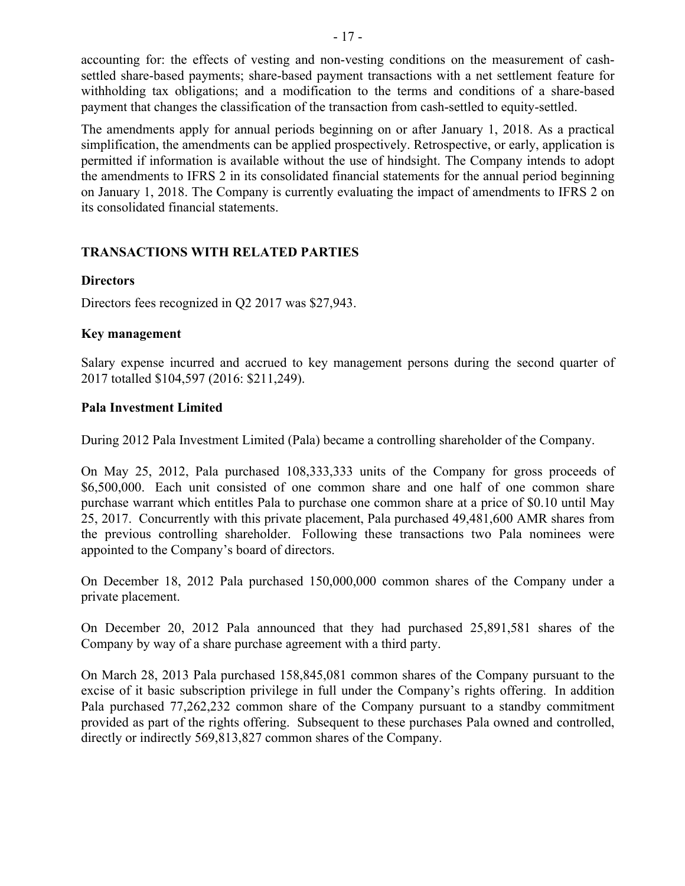accounting for: the effects of vesting and non-vesting conditions on the measurement of cashsettled share-based payments; share-based payment transactions with a net settlement feature for withholding tax obligations; and a modification to the terms and conditions of a share-based payment that changes the classification of the transaction from cash-settled to equity-settled.

The amendments apply for annual periods beginning on or after January 1, 2018. As a practical simplification, the amendments can be applied prospectively. Retrospective, or early, application is permitted if information is available without the use of hindsight. The Company intends to adopt the amendments to IFRS 2 in its consolidated financial statements for the annual period beginning on January 1, 2018. The Company is currently evaluating the impact of amendments to IFRS 2 on its consolidated financial statements.

### **TRANSACTIONS WITH RELATED PARTIES**

### **Directors**

Directors fees recognized in Q2 2017 was \$27,943.

### **Key management**

Salary expense incurred and accrued to key management persons during the second quarter of 2017 totalled \$104,597 (2016: \$211,249).

### **Pala Investment Limited**

During 2012 Pala Investment Limited (Pala) became a controlling shareholder of the Company.

On May 25, 2012, Pala purchased 108,333,333 units of the Company for gross proceeds of \$6,500,000. Each unit consisted of one common share and one half of one common share purchase warrant which entitles Pala to purchase one common share at a price of \$0.10 until May 25, 2017. Concurrently with this private placement, Pala purchased 49,481,600 AMR shares from the previous controlling shareholder. Following these transactions two Pala nominees were appointed to the Company's board of directors.

On December 18, 2012 Pala purchased 150,000,000 common shares of the Company under a private placement.

On December 20, 2012 Pala announced that they had purchased 25,891,581 shares of the Company by way of a share purchase agreement with a third party.

On March 28, 2013 Pala purchased 158,845,081 common shares of the Company pursuant to the excise of it basic subscription privilege in full under the Company's rights offering. In addition Pala purchased 77,262,232 common share of the Company pursuant to a standby commitment provided as part of the rights offering. Subsequent to these purchases Pala owned and controlled, directly or indirectly 569,813,827 common shares of the Company.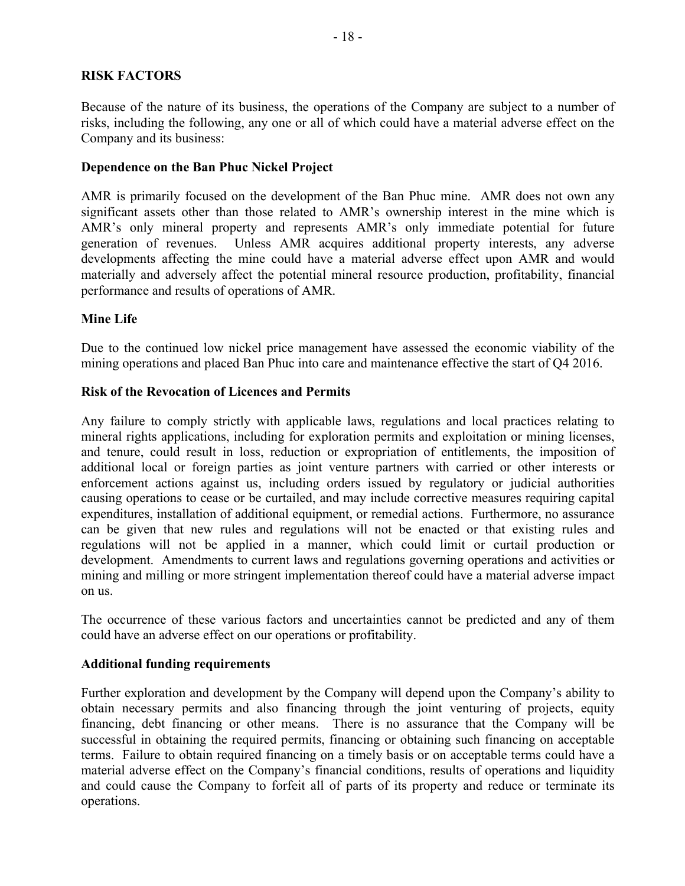### **RISK FACTORS**

Because of the nature of its business, the operations of the Company are subject to a number of risks, including the following, any one or all of which could have a material adverse effect on the Company and its business:

### **Dependence on the Ban Phuc Nickel Project**

AMR is primarily focused on the development of the Ban Phuc mine. AMR does not own any significant assets other than those related to AMR's ownership interest in the mine which is AMR's only mineral property and represents AMR's only immediate potential for future generation of revenues. Unless AMR acquires additional property interests, any adverse developments affecting the mine could have a material adverse effect upon AMR and would materially and adversely affect the potential mineral resource production, profitability, financial performance and results of operations of AMR.

### **Mine Life**

Due to the continued low nickel price management have assessed the economic viability of the mining operations and placed Ban Phuc into care and maintenance effective the start of Q4 2016.

### **Risk of the Revocation of Licences and Permits**

Any failure to comply strictly with applicable laws, regulations and local practices relating to mineral rights applications, including for exploration permits and exploitation or mining licenses, and tenure, could result in loss, reduction or expropriation of entitlements, the imposition of additional local or foreign parties as joint venture partners with carried or other interests or enforcement actions against us, including orders issued by regulatory or judicial authorities causing operations to cease or be curtailed, and may include corrective measures requiring capital expenditures, installation of additional equipment, or remedial actions. Furthermore, no assurance can be given that new rules and regulations will not be enacted or that existing rules and regulations will not be applied in a manner, which could limit or curtail production or development. Amendments to current laws and regulations governing operations and activities or mining and milling or more stringent implementation thereof could have a material adverse impact on us.

The occurrence of these various factors and uncertainties cannot be predicted and any of them could have an adverse effect on our operations or profitability.

### **Additional funding requirements**

Further exploration and development by the Company will depend upon the Company's ability to obtain necessary permits and also financing through the joint venturing of projects, equity financing, debt financing or other means. There is no assurance that the Company will be successful in obtaining the required permits, financing or obtaining such financing on acceptable terms. Failure to obtain required financing on a timely basis or on acceptable terms could have a material adverse effect on the Company's financial conditions, results of operations and liquidity and could cause the Company to forfeit all of parts of its property and reduce or terminate its operations.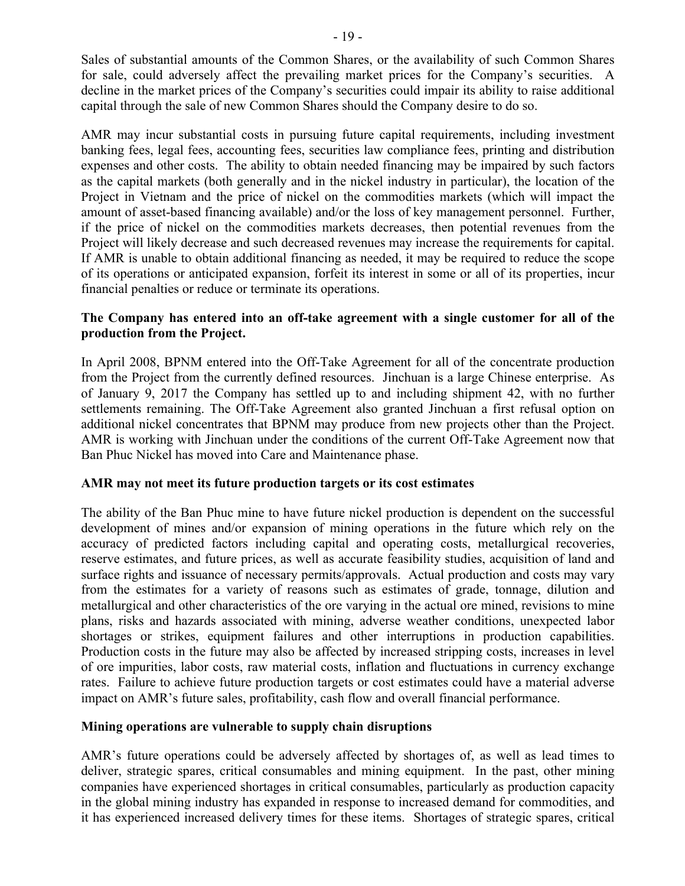Sales of substantial amounts of the Common Shares, or the availability of such Common Shares for sale, could adversely affect the prevailing market prices for the Company's securities. A decline in the market prices of the Company's securities could impair its ability to raise additional capital through the sale of new Common Shares should the Company desire to do so.

AMR may incur substantial costs in pursuing future capital requirements, including investment banking fees, legal fees, accounting fees, securities law compliance fees, printing and distribution expenses and other costs. The ability to obtain needed financing may be impaired by such factors as the capital markets (both generally and in the nickel industry in particular), the location of the Project in Vietnam and the price of nickel on the commodities markets (which will impact the amount of asset-based financing available) and/or the loss of key management personnel. Further, if the price of nickel on the commodities markets decreases, then potential revenues from the Project will likely decrease and such decreased revenues may increase the requirements for capital. If AMR is unable to obtain additional financing as needed, it may be required to reduce the scope of its operations or anticipated expansion, forfeit its interest in some or all of its properties, incur financial penalties or reduce or terminate its operations.

### **The Company has entered into an off-take agreement with a single customer for all of the production from the Project.**

In April 2008, BPNM entered into the Off-Take Agreement for all of the concentrate production from the Project from the currently defined resources. Jinchuan is a large Chinese enterprise. As of January 9, 2017 the Company has settled up to and including shipment 42, with no further settlements remaining. The Off-Take Agreement also granted Jinchuan a first refusal option on additional nickel concentrates that BPNM may produce from new projects other than the Project. AMR is working with Jinchuan under the conditions of the current Off-Take Agreement now that Ban Phuc Nickel has moved into Care and Maintenance phase.

### **AMR may not meet its future production targets or its cost estimates**

The ability of the Ban Phuc mine to have future nickel production is dependent on the successful development of mines and/or expansion of mining operations in the future which rely on the accuracy of predicted factors including capital and operating costs, metallurgical recoveries, reserve estimates, and future prices, as well as accurate feasibility studies, acquisition of land and surface rights and issuance of necessary permits/approvals. Actual production and costs may vary from the estimates for a variety of reasons such as estimates of grade, tonnage, dilution and metallurgical and other characteristics of the ore varying in the actual ore mined, revisions to mine plans, risks and hazards associated with mining, adverse weather conditions, unexpected labor shortages or strikes, equipment failures and other interruptions in production capabilities. Production costs in the future may also be affected by increased stripping costs, increases in level of ore impurities, labor costs, raw material costs, inflation and fluctuations in currency exchange rates. Failure to achieve future production targets or cost estimates could have a material adverse impact on AMR's future sales, profitability, cash flow and overall financial performance.

### **Mining operations are vulnerable to supply chain disruptions**

AMR's future operations could be adversely affected by shortages of, as well as lead times to deliver, strategic spares, critical consumables and mining equipment. In the past, other mining companies have experienced shortages in critical consumables, particularly as production capacity in the global mining industry has expanded in response to increased demand for commodities, and it has experienced increased delivery times for these items. Shortages of strategic spares, critical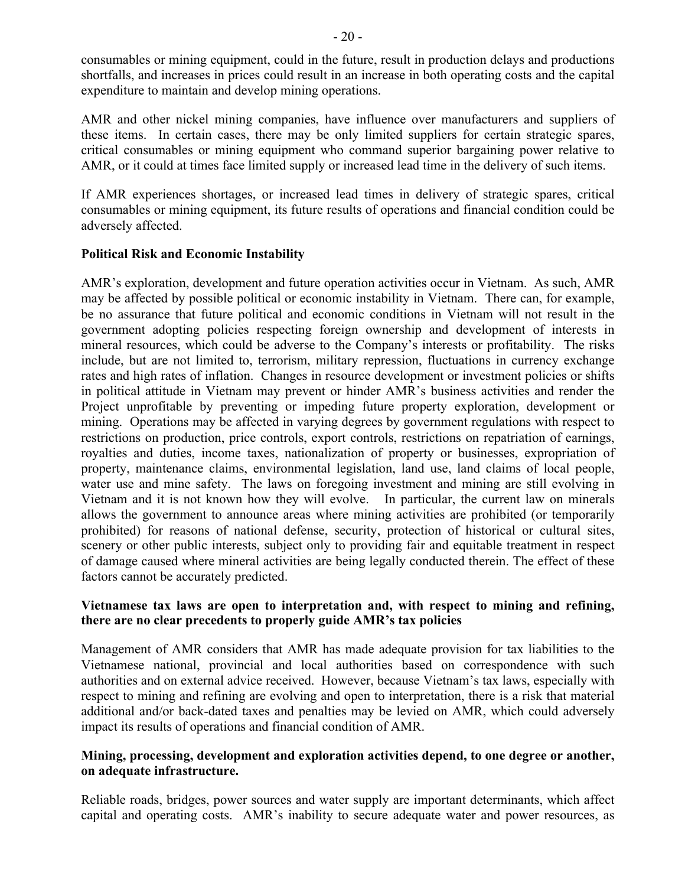consumables or mining equipment, could in the future, result in production delays and productions shortfalls, and increases in prices could result in an increase in both operating costs and the capital expenditure to maintain and develop mining operations.

AMR and other nickel mining companies, have influence over manufacturers and suppliers of these items. In certain cases, there may be only limited suppliers for certain strategic spares, critical consumables or mining equipment who command superior bargaining power relative to AMR, or it could at times face limited supply or increased lead time in the delivery of such items.

If AMR experiences shortages, or increased lead times in delivery of strategic spares, critical consumables or mining equipment, its future results of operations and financial condition could be adversely affected.

### **Political Risk and Economic Instability**

AMR's exploration, development and future operation activities occur in Vietnam. As such, AMR may be affected by possible political or economic instability in Vietnam. There can, for example, be no assurance that future political and economic conditions in Vietnam will not result in the government adopting policies respecting foreign ownership and development of interests in mineral resources, which could be adverse to the Company's interests or profitability. The risks include, but are not limited to, terrorism, military repression, fluctuations in currency exchange rates and high rates of inflation. Changes in resource development or investment policies or shifts in political attitude in Vietnam may prevent or hinder AMR's business activities and render the Project unprofitable by preventing or impeding future property exploration, development or mining. Operations may be affected in varying degrees by government regulations with respect to restrictions on production, price controls, export controls, restrictions on repatriation of earnings, royalties and duties, income taxes, nationalization of property or businesses, expropriation of property, maintenance claims, environmental legislation, land use, land claims of local people, water use and mine safety. The laws on foregoing investment and mining are still evolving in Vietnam and it is not known how they will evolve. In particular, the current law on minerals allows the government to announce areas where mining activities are prohibited (or temporarily prohibited) for reasons of national defense, security, protection of historical or cultural sites, scenery or other public interests, subject only to providing fair and equitable treatment in respect of damage caused where mineral activities are being legally conducted therein. The effect of these factors cannot be accurately predicted.

### **Vietnamese tax laws are open to interpretation and, with respect to mining and refining, there are no clear precedents to properly guide AMR's tax policies**

Management of AMR considers that AMR has made adequate provision for tax liabilities to the Vietnamese national, provincial and local authorities based on correspondence with such authorities and on external advice received. However, because Vietnam's tax laws, especially with respect to mining and refining are evolving and open to interpretation, there is a risk that material additional and/or back-dated taxes and penalties may be levied on AMR, which could adversely impact its results of operations and financial condition of AMR.

### **Mining, processing, development and exploration activities depend, to one degree or another, on adequate infrastructure.**

Reliable roads, bridges, power sources and water supply are important determinants, which affect capital and operating costs. AMR's inability to secure adequate water and power resources, as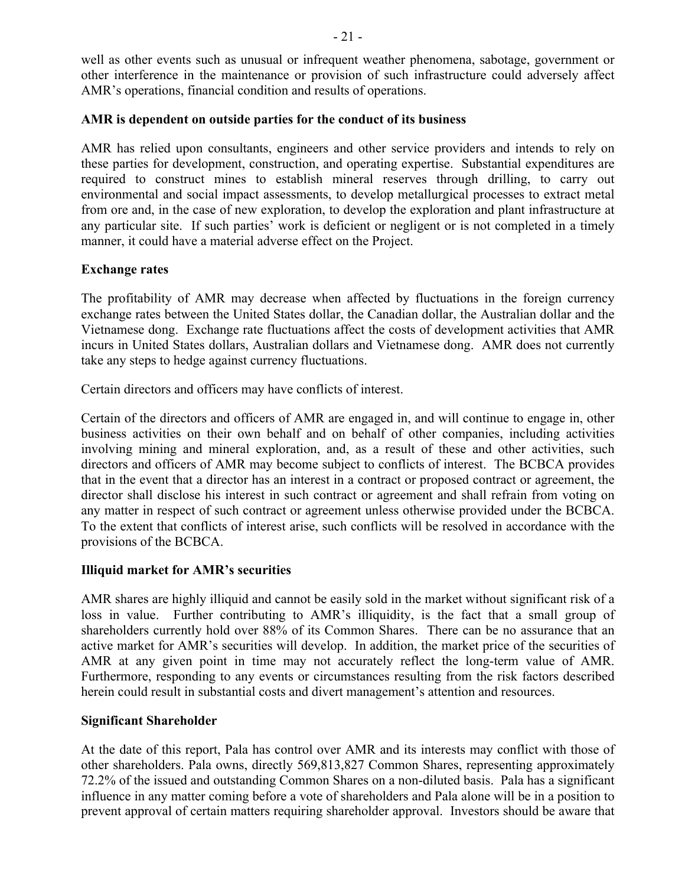well as other events such as unusual or infrequent weather phenomena, sabotage, government or other interference in the maintenance or provision of such infrastructure could adversely affect AMR's operations, financial condition and results of operations.

#### **AMR is dependent on outside parties for the conduct of its business**

AMR has relied upon consultants, engineers and other service providers and intends to rely on these parties for development, construction, and operating expertise. Substantial expenditures are required to construct mines to establish mineral reserves through drilling, to carry out environmental and social impact assessments, to develop metallurgical processes to extract metal from ore and, in the case of new exploration, to develop the exploration and plant infrastructure at any particular site. If such parties' work is deficient or negligent or is not completed in a timely manner, it could have a material adverse effect on the Project.

#### **Exchange rates**

The profitability of AMR may decrease when affected by fluctuations in the foreign currency exchange rates between the United States dollar, the Canadian dollar, the Australian dollar and the Vietnamese dong. Exchange rate fluctuations affect the costs of development activities that AMR incurs in United States dollars, Australian dollars and Vietnamese dong. AMR does not currently take any steps to hedge against currency fluctuations.

Certain directors and officers may have conflicts of interest.

Certain of the directors and officers of AMR are engaged in, and will continue to engage in, other business activities on their own behalf and on behalf of other companies, including activities involving mining and mineral exploration, and, as a result of these and other activities, such directors and officers of AMR may become subject to conflicts of interest. The BCBCA provides that in the event that a director has an interest in a contract or proposed contract or agreement, the director shall disclose his interest in such contract or agreement and shall refrain from voting on any matter in respect of such contract or agreement unless otherwise provided under the BCBCA. To the extent that conflicts of interest arise, such conflicts will be resolved in accordance with the provisions of the BCBCA.

#### **Illiquid market for AMR's securities**

AMR shares are highly illiquid and cannot be easily sold in the market without significant risk of a loss in value. Further contributing to AMR's illiquidity, is the fact that a small group of shareholders currently hold over 88% of its Common Shares. There can be no assurance that an active market for AMR's securities will develop. In addition, the market price of the securities of AMR at any given point in time may not accurately reflect the long-term value of AMR. Furthermore, responding to any events or circumstances resulting from the risk factors described herein could result in substantial costs and divert management's attention and resources.

#### **Significant Shareholder**

At the date of this report, Pala has control over AMR and its interests may conflict with those of other shareholders. Pala owns, directly 569,813,827 Common Shares, representing approximately 72.2% of the issued and outstanding Common Shares on a non-diluted basis. Pala has a significant influence in any matter coming before a vote of shareholders and Pala alone will be in a position to prevent approval of certain matters requiring shareholder approval. Investors should be aware that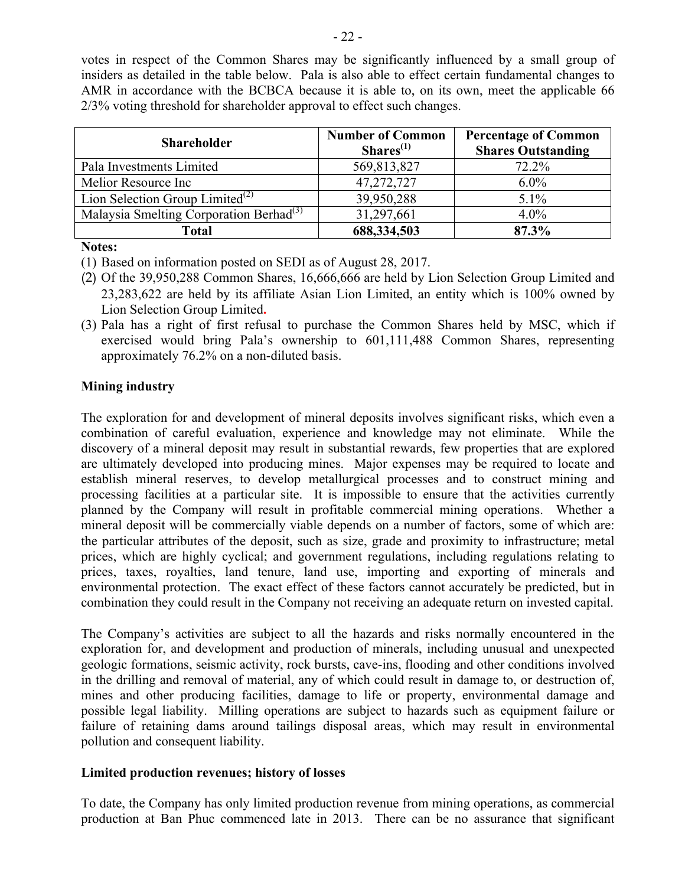votes in respect of the Common Shares may be significantly influenced by a small group of insiders as detailed in the table below. Pala is also able to effect certain fundamental changes to AMR in accordance with the BCBCA because it is able to, on its own, meet the applicable 66 2/3% voting threshold for shareholder approval to effect such changes.

| <b>Shareholder</b>                                  | <b>Number of Common</b><br>Shares <sup>(1)</sup> | <b>Percentage of Common</b><br><b>Shares Outstanding</b> |
|-----------------------------------------------------|--------------------------------------------------|----------------------------------------------------------|
| Pala Investments Limited                            | 569,813,827                                      | 72.2%                                                    |
| Melior Resource Inc                                 | 47,272,727                                       | $6.0\%$                                                  |
| Lion Selection Group Limited <sup>(2)</sup>         | 39,950,288                                       | $5.1\%$                                                  |
| Malaysia Smelting Corporation Berhad <sup>(3)</sup> | 31,297,661                                       | $4.0\%$                                                  |
| <b>Total</b>                                        | 688,334,503                                      | 87.3%                                                    |

### **Notes:**

- (1) Based on information posted on SEDI as of August 28, 2017.
- (2) Of the 39,950,288 Common Shares, 16,666,666 are held by Lion Selection Group Limited and 23,283,622 are held by its affiliate Asian Lion Limited, an entity which is 100% owned by Lion Selection Group Limited**.**
- (3) Pala has a right of first refusal to purchase the Common Shares held by MSC, which if exercised would bring Pala's ownership to 601,111,488 Common Shares, representing approximately 76.2% on a non-diluted basis.

### **Mining industry**

The exploration for and development of mineral deposits involves significant risks, which even a combination of careful evaluation, experience and knowledge may not eliminate. While the discovery of a mineral deposit may result in substantial rewards, few properties that are explored are ultimately developed into producing mines. Major expenses may be required to locate and establish mineral reserves, to develop metallurgical processes and to construct mining and processing facilities at a particular site. It is impossible to ensure that the activities currently planned by the Company will result in profitable commercial mining operations. Whether a mineral deposit will be commercially viable depends on a number of factors, some of which are: the particular attributes of the deposit, such as size, grade and proximity to infrastructure; metal prices, which are highly cyclical; and government regulations, including regulations relating to prices, taxes, royalties, land tenure, land use, importing and exporting of minerals and environmental protection. The exact effect of these factors cannot accurately be predicted, but in combination they could result in the Company not receiving an adequate return on invested capital.

The Company's activities are subject to all the hazards and risks normally encountered in the exploration for, and development and production of minerals, including unusual and unexpected geologic formations, seismic activity, rock bursts, cave-ins, flooding and other conditions involved in the drilling and removal of material, any of which could result in damage to, or destruction of, mines and other producing facilities, damage to life or property, environmental damage and possible legal liability. Milling operations are subject to hazards such as equipment failure or failure of retaining dams around tailings disposal areas, which may result in environmental pollution and consequent liability.

### **Limited production revenues; history of losses**

To date, the Company has only limited production revenue from mining operations, as commercial production at Ban Phuc commenced late in 2013. There can be no assurance that significant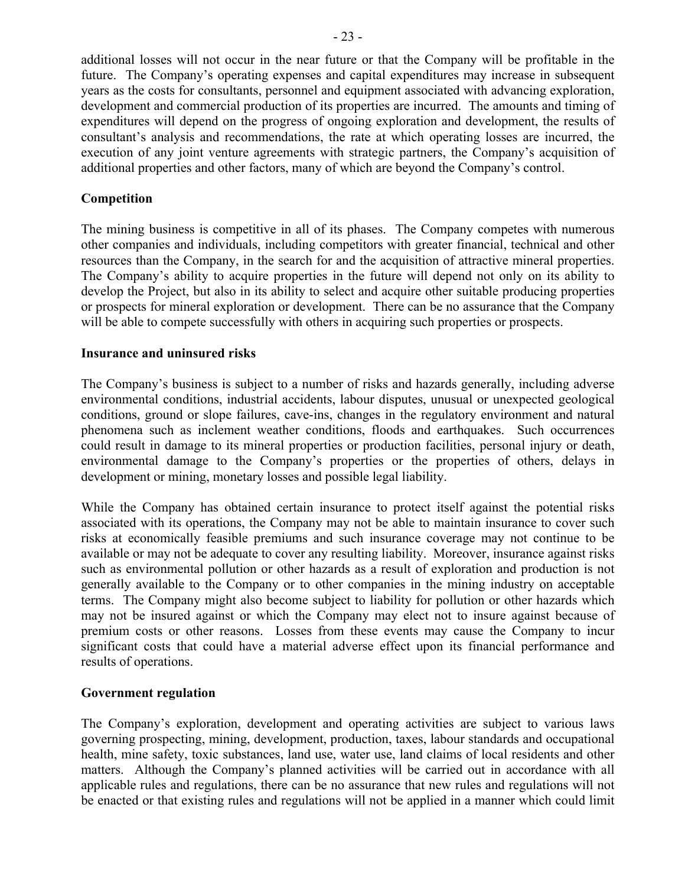additional losses will not occur in the near future or that the Company will be profitable in the future. The Company's operating expenses and capital expenditures may increase in subsequent years as the costs for consultants, personnel and equipment associated with advancing exploration, development and commercial production of its properties are incurred. The amounts and timing of expenditures will depend on the progress of ongoing exploration and development, the results of consultant's analysis and recommendations, the rate at which operating losses are incurred, the execution of any joint venture agreements with strategic partners, the Company's acquisition of additional properties and other factors, many of which are beyond the Company's control.

### **Competition**

The mining business is competitive in all of its phases. The Company competes with numerous other companies and individuals, including competitors with greater financial, technical and other resources than the Company, in the search for and the acquisition of attractive mineral properties. The Company's ability to acquire properties in the future will depend not only on its ability to develop the Project, but also in its ability to select and acquire other suitable producing properties or prospects for mineral exploration or development. There can be no assurance that the Company will be able to compete successfully with others in acquiring such properties or prospects.

#### **Insurance and uninsured risks**

The Company's business is subject to a number of risks and hazards generally, including adverse environmental conditions, industrial accidents, labour disputes, unusual or unexpected geological conditions, ground or slope failures, cave-ins, changes in the regulatory environment and natural phenomena such as inclement weather conditions, floods and earthquakes. Such occurrences could result in damage to its mineral properties or production facilities, personal injury or death, environmental damage to the Company's properties or the properties of others, delays in development or mining, monetary losses and possible legal liability.

While the Company has obtained certain insurance to protect itself against the potential risks associated with its operations, the Company may not be able to maintain insurance to cover such risks at economically feasible premiums and such insurance coverage may not continue to be available or may not be adequate to cover any resulting liability. Moreover, insurance against risks such as environmental pollution or other hazards as a result of exploration and production is not generally available to the Company or to other companies in the mining industry on acceptable terms. The Company might also become subject to liability for pollution or other hazards which may not be insured against or which the Company may elect not to insure against because of premium costs or other reasons. Losses from these events may cause the Company to incur significant costs that could have a material adverse effect upon its financial performance and results of operations.

#### **Government regulation**

The Company's exploration, development and operating activities are subject to various laws governing prospecting, mining, development, production, taxes, labour standards and occupational health, mine safety, toxic substances, land use, water use, land claims of local residents and other matters. Although the Company's planned activities will be carried out in accordance with all applicable rules and regulations, there can be no assurance that new rules and regulations will not be enacted or that existing rules and regulations will not be applied in a manner which could limit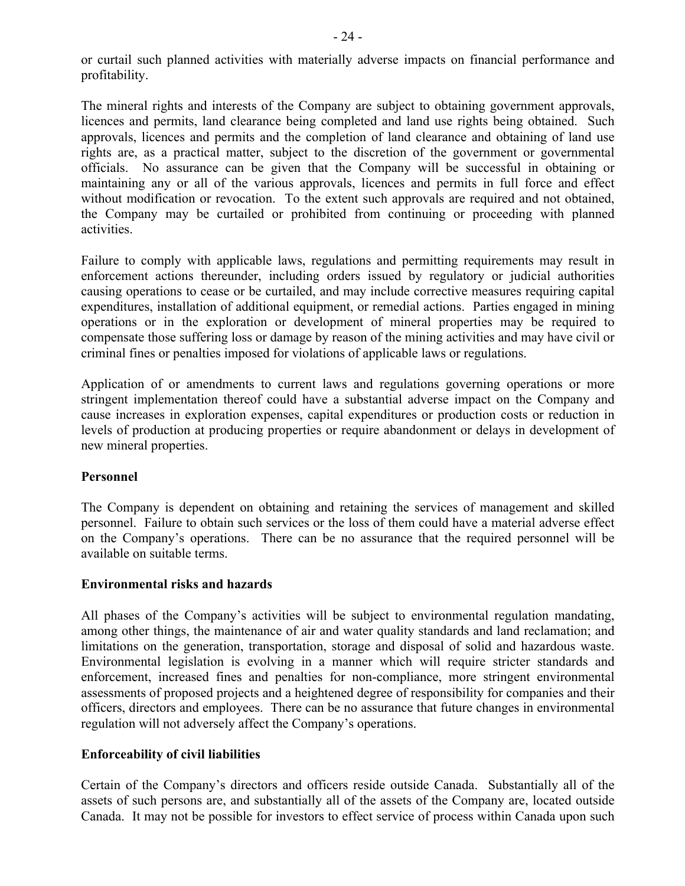or curtail such planned activities with materially adverse impacts on financial performance and profitability.

The mineral rights and interests of the Company are subject to obtaining government approvals, licences and permits, land clearance being completed and land use rights being obtained. Such approvals, licences and permits and the completion of land clearance and obtaining of land use rights are, as a practical matter, subject to the discretion of the government or governmental officials. No assurance can be given that the Company will be successful in obtaining or maintaining any or all of the various approvals, licences and permits in full force and effect without modification or revocation. To the extent such approvals are required and not obtained, the Company may be curtailed or prohibited from continuing or proceeding with planned activities.

Failure to comply with applicable laws, regulations and permitting requirements may result in enforcement actions thereunder, including orders issued by regulatory or judicial authorities causing operations to cease or be curtailed, and may include corrective measures requiring capital expenditures, installation of additional equipment, or remedial actions. Parties engaged in mining operations or in the exploration or development of mineral properties may be required to compensate those suffering loss or damage by reason of the mining activities and may have civil or criminal fines or penalties imposed for violations of applicable laws or regulations.

Application of or amendments to current laws and regulations governing operations or more stringent implementation thereof could have a substantial adverse impact on the Company and cause increases in exploration expenses, capital expenditures or production costs or reduction in levels of production at producing properties or require abandonment or delays in development of new mineral properties.

### **Personnel**

The Company is dependent on obtaining and retaining the services of management and skilled personnel. Failure to obtain such services or the loss of them could have a material adverse effect on the Company's operations. There can be no assurance that the required personnel will be available on suitable terms.

#### **Environmental risks and hazards**

All phases of the Company's activities will be subject to environmental regulation mandating, among other things, the maintenance of air and water quality standards and land reclamation; and limitations on the generation, transportation, storage and disposal of solid and hazardous waste. Environmental legislation is evolving in a manner which will require stricter standards and enforcement, increased fines and penalties for non-compliance, more stringent environmental assessments of proposed projects and a heightened degree of responsibility for companies and their officers, directors and employees. There can be no assurance that future changes in environmental regulation will not adversely affect the Company's operations.

### **Enforceability of civil liabilities**

Certain of the Company's directors and officers reside outside Canada. Substantially all of the assets of such persons are, and substantially all of the assets of the Company are, located outside Canada. It may not be possible for investors to effect service of process within Canada upon such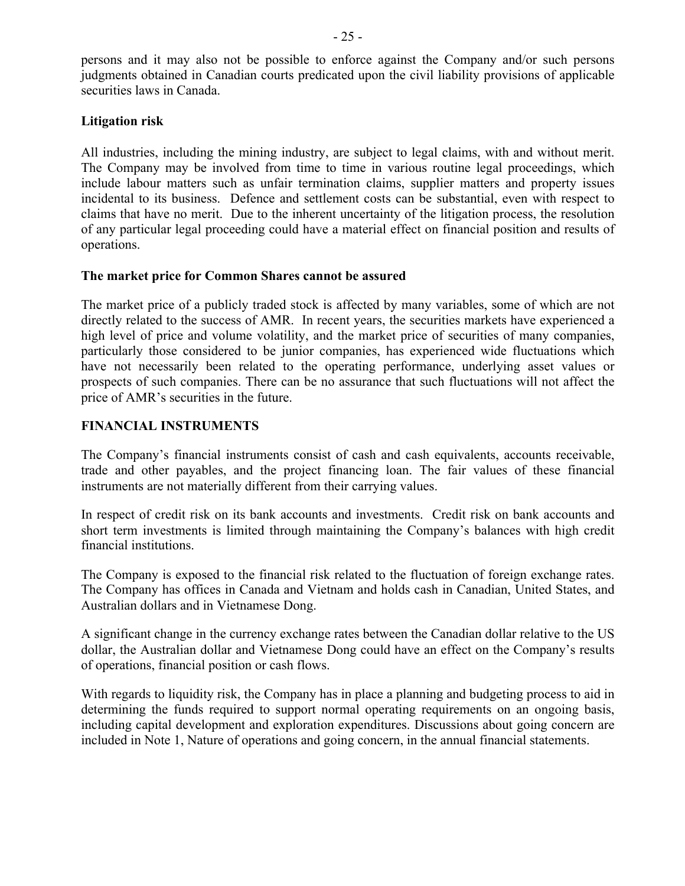persons and it may also not be possible to enforce against the Company and/or such persons judgments obtained in Canadian courts predicated upon the civil liability provisions of applicable securities laws in Canada.

### **Litigation risk**

All industries, including the mining industry, are subject to legal claims, with and without merit. The Company may be involved from time to time in various routine legal proceedings, which include labour matters such as unfair termination claims, supplier matters and property issues incidental to its business. Defence and settlement costs can be substantial, even with respect to claims that have no merit. Due to the inherent uncertainty of the litigation process, the resolution of any particular legal proceeding could have a material effect on financial position and results of operations.

### **The market price for Common Shares cannot be assured**

The market price of a publicly traded stock is affected by many variables, some of which are not directly related to the success of AMR. In recent years, the securities markets have experienced a high level of price and volume volatility, and the market price of securities of many companies, particularly those considered to be junior companies, has experienced wide fluctuations which have not necessarily been related to the operating performance, underlying asset values or prospects of such companies. There can be no assurance that such fluctuations will not affect the price of AMR's securities in the future.

### **FINANCIAL INSTRUMENTS**

The Company's financial instruments consist of cash and cash equivalents, accounts receivable, trade and other payables, and the project financing loan. The fair values of these financial instruments are not materially different from their carrying values.

In respect of credit risk on its bank accounts and investments. Credit risk on bank accounts and short term investments is limited through maintaining the Company's balances with high credit financial institutions.

The Company is exposed to the financial risk related to the fluctuation of foreign exchange rates. The Company has offices in Canada and Vietnam and holds cash in Canadian, United States, and Australian dollars and in Vietnamese Dong.

A significant change in the currency exchange rates between the Canadian dollar relative to the US dollar, the Australian dollar and Vietnamese Dong could have an effect on the Company's results of operations, financial position or cash flows.

With regards to liquidity risk, the Company has in place a planning and budgeting process to aid in determining the funds required to support normal operating requirements on an ongoing basis, including capital development and exploration expenditures. Discussions about going concern are included in Note 1, Nature of operations and going concern, in the annual financial statements.